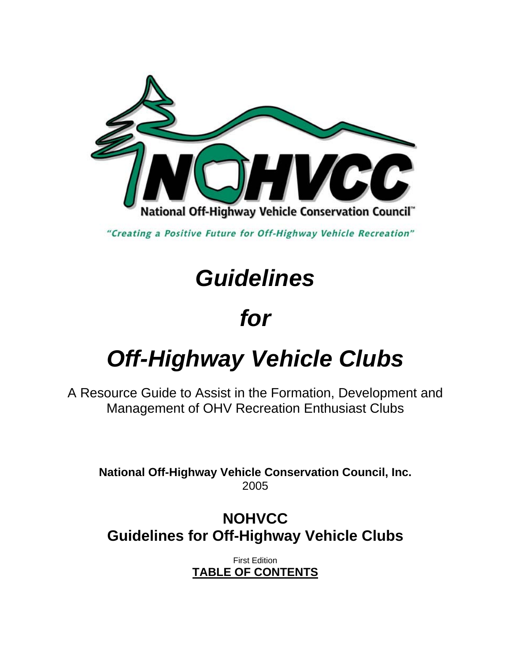

"Creating a Positive Future for Off-Highway Vehicle Recreation"

# *Guidelines*

# *for*

# *Off-Highway Vehicle Clubs*

A Resource Guide to Assist in the Formation, Development and Management of OHV Recreation Enthusiast Clubs

**National Off-Highway Vehicle Conservation Council, Inc.**  2005

# **NOHVCC Guidelines for Off-Highway Vehicle Clubs**

First Edition **TABLE OF CONTENTS**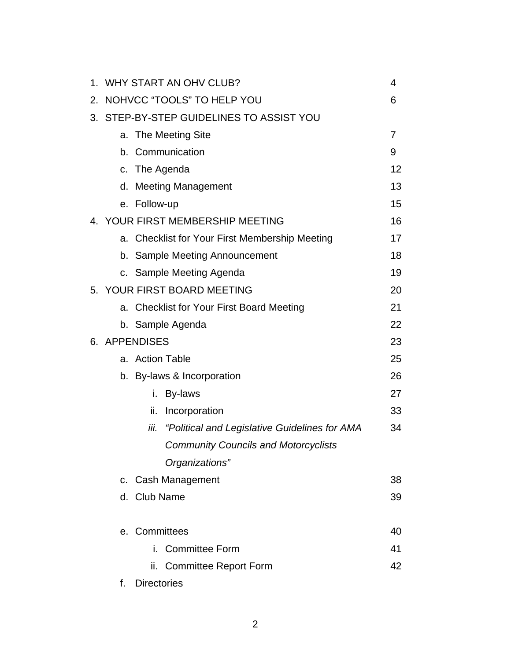|    | 1. WHY START AN OHV CLUB?                |                                                       |    |  |
|----|------------------------------------------|-------------------------------------------------------|----|--|
| 2. | NOHVCC "TOOLS" TO HELP YOU               |                                                       |    |  |
|    | 3. STEP-BY-STEP GUIDELINES TO ASSIST YOU |                                                       |    |  |
|    |                                          | a. The Meeting Site                                   | 7  |  |
|    | b.                                       | Communication                                         | 9  |  |
|    |                                          | c. The Agenda                                         | 12 |  |
|    |                                          | d. Meeting Management                                 | 13 |  |
|    |                                          | e. Follow-up                                          | 15 |  |
|    |                                          | 4. YOUR FIRST MEMBERSHIP MEETING                      | 16 |  |
|    |                                          | a. Checklist for Your First Membership Meeting        | 17 |  |
|    |                                          | b. Sample Meeting Announcement                        | 18 |  |
|    |                                          | c. Sample Meeting Agenda                              | 19 |  |
|    |                                          | 5. YOUR FIRST BOARD MEETING                           | 20 |  |
|    | a.                                       | <b>Checklist for Your First Board Meeting</b>         | 21 |  |
|    |                                          | b. Sample Agenda                                      | 22 |  |
|    |                                          | 6. APPENDISES                                         | 23 |  |
|    |                                          | a. Action Table                                       | 25 |  |
|    |                                          | b. By-laws & Incorporation                            | 26 |  |
|    |                                          | i.<br>By-laws                                         | 27 |  |
|    |                                          | ii.<br>Incorporation                                  | 33 |  |
|    |                                          | iii.<br>"Political and Legislative Guidelines for AMA | 34 |  |
|    |                                          | <b>Community Councils and Motorcyclists</b>           |    |  |
|    |                                          | Organizations"                                        |    |  |
|    |                                          | c. Cash Management                                    | 38 |  |
|    |                                          | d. Club Name                                          | 39 |  |
|    |                                          | e. Committees                                         | 40 |  |
|    |                                          | i. Committee Form                                     | 41 |  |
|    |                                          | ii.<br><b>Committee Report Form</b>                   | 42 |  |
|    | f.                                       | <b>Directories</b>                                    |    |  |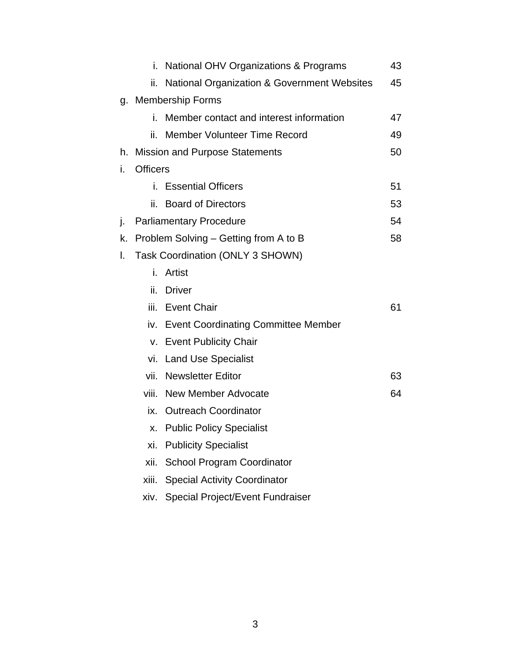|    | i.                               | National OHV Organizations & Programs                  | 43 |
|----|----------------------------------|--------------------------------------------------------|----|
|    | ii.                              | <b>National Organization &amp; Government Websites</b> | 45 |
|    |                                  | g. Membership Forms                                    |    |
|    | i.                               | Member contact and interest information                | 47 |
|    | ii.                              | <b>Member Volunteer Time Record</b>                    | 49 |
|    |                                  | h. Mission and Purpose Statements                      | 50 |
| i. | <b>Officers</b>                  |                                                        |    |
|    |                                  | i. Essential Officers                                  | 51 |
|    | ii.                              | <b>Board of Directors</b>                              | 53 |
| j. |                                  | <b>Parliamentary Procedure</b>                         | 54 |
| k. |                                  | Problem Solving – Getting from A to B                  | 58 |
| I. | Task Coordination (ONLY 3 SHOWN) |                                                        |    |
|    | i.                               | Artist                                                 |    |
|    | ii.                              | <b>Driver</b>                                          |    |
|    |                                  | iii. Event Chair                                       | 61 |
|    |                                  | iv. Event Coordinating Committee Member                |    |
|    |                                  | v. Event Publicity Chair                               |    |
|    |                                  | vi. Land Use Specialist                                |    |
|    | vii.                             | <b>Newsletter Editor</b>                               | 63 |
|    | viii.                            | New Member Advocate                                    | 64 |
|    |                                  | ix. Outreach Coordinator                               |    |
|    | Х.                               | <b>Public Policy Specialist</b>                        |    |
|    | xi.                              | <b>Publicity Specialist</b>                            |    |
|    | xii.                             | <b>School Program Coordinator</b>                      |    |
|    | xiii.                            | <b>Special Activity Coordinator</b>                    |    |
|    | xiv.                             | <b>Special Project/Event Fundraiser</b>                |    |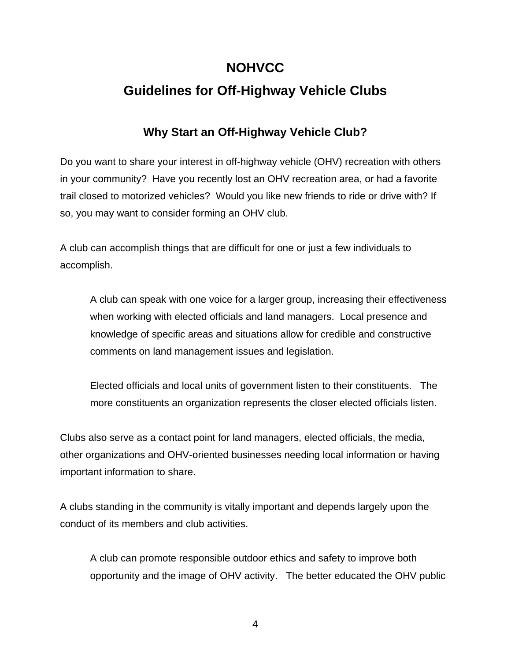# **NOHVCC**

# **Guidelines for Off-Highway Vehicle Clubs**

# **Why Start an Off-Highway Vehicle Club?**

Do you want to share your interest in off-highway vehicle (OHV) recreation with others in your community? Have you recently lost an OHV recreation area, or had a favorite trail closed to motorized vehicles? Would you like new friends to ride or drive with? If so, you may want to consider forming an OHV club.

A club can accomplish things that are difficult for one or just a few individuals to accomplish.

A club can speak with one voice for a larger group, increasing their effectiveness when working with elected officials and land managers. Local presence and knowledge of specific areas and situations allow for credible and constructive comments on land management issues and legislation.

Elected officials and local units of government listen to their constituents. The more constituents an organization represents the closer elected officials listen.

Clubs also serve as a contact point for land managers, elected officials, the media, other organizations and OHV-oriented businesses needing local information or having important information to share.

A clubs standing in the community is vitally important and depends largely upon the conduct of its members and club activities.

A club can promote responsible outdoor ethics and safety to improve both opportunity and the image of OHV activity. The better educated the OHV public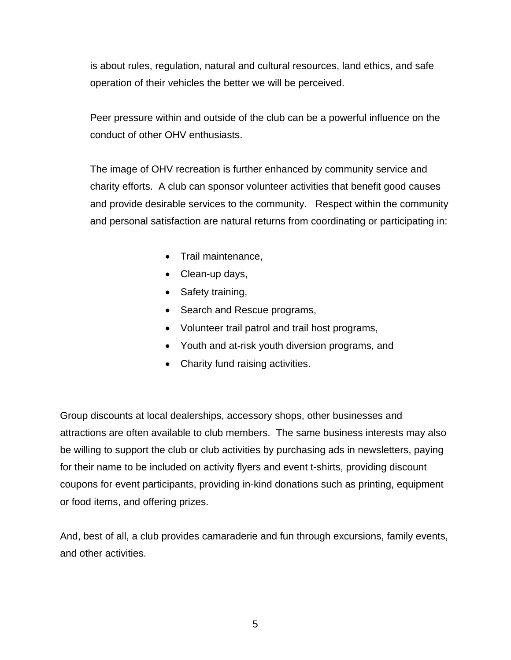is about rules, regulation, natural and cultural resources, land ethics, and safe operation of their vehicles the better we will be perceived.

Peer pressure within and outside of the club can be a powerful influence on the conduct of other OHV enthusiasts.

The image of OHV recreation is further enhanced by community service and charity efforts. A club can sponsor volunteer activities that benefit good causes and provide desirable services to the community. Respect within the community and personal satisfaction are natural returns from coordinating or participating in:

- Trail maintenance,
- Clean-up days,
- Safety training,
- Search and Rescue programs,
- Volunteer trail patrol and trail host programs,
- Youth and at-risk youth diversion programs, and
- Charity fund raising activities.

Group discounts at local dealerships, accessory shops, other businesses and attractions are often available to club members. The same business interests may also be willing to support the club or club activities by purchasing ads in newsletters, paying for their name to be included on activity flyers and event t-shirts, providing discount coupons for event participants, providing in-kind donations such as printing, equipment or food items, and offering prizes.

And, best of all, a club provides camaraderie and fun through excursions, family events, and other activities.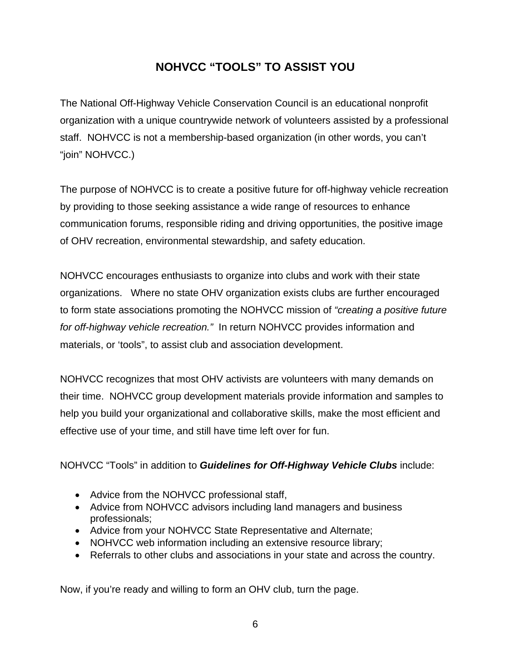# **NOHVCC "TOOLS" TO ASSIST YOU**

The National Off-Highway Vehicle Conservation Council is an educational nonprofit organization with a unique countrywide network of volunteers assisted by a professional staff. NOHVCC is not a membership-based organization (in other words, you can't "join" NOHVCC.)

The purpose of NOHVCC is to create a positive future for off-highway vehicle recreation by providing to those seeking assistance a wide range of resources to enhance communication forums, responsible riding and driving opportunities, the positive image of OHV recreation, environmental stewardship, and safety education.

NOHVCC encourages enthusiasts to organize into clubs and work with their state organizations. Where no state OHV organization exists clubs are further encouraged to form state associations promoting the NOHVCC mission of *"creating a positive future for off-highway vehicle recreation."* In return NOHVCC provides information and materials, or 'tools", to assist club and association development.

NOHVCC recognizes that most OHV activists are volunteers with many demands on their time. NOHVCC group development materials provide information and samples to help you build your organizational and collaborative skills, make the most efficient and effective use of your time, and still have time left over for fun.

# NOHVCC "Tools" in addition to *Guidelines for Off-Highway Vehicle Clubs* include:

- Advice from the NOHVCC professional staff,
- Advice from NOHVCC advisors including land managers and business professionals;
- Advice from your NOHVCC State Representative and Alternate;
- NOHVCC web information including an extensive resource library;
- Referrals to other clubs and associations in your state and across the country.

Now, if you're ready and willing to form an OHV club, turn the page.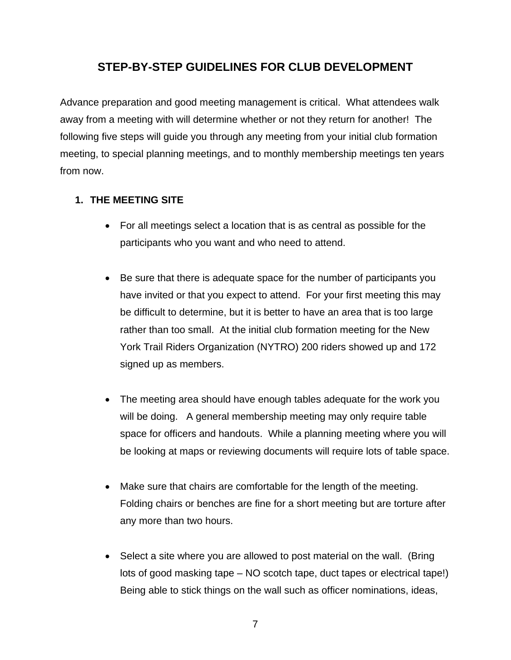# **STEP-BY-STEP GUIDELINES FOR CLUB DEVELOPMENT**

Advance preparation and good meeting management is critical. What attendees walk away from a meeting with will determine whether or not they return for another! The following five steps will guide you through any meeting from your initial club formation meeting, to special planning meetings, and to monthly membership meetings ten years from now.

# **1. THE MEETING SITE**

- For all meetings select a location that is as central as possible for the participants who you want and who need to attend.
- Be sure that there is adequate space for the number of participants you have invited or that you expect to attend. For your first meeting this may be difficult to determine, but it is better to have an area that is too large rather than too small. At the initial club formation meeting for the New York Trail Riders Organization (NYTRO) 200 riders showed up and 172 signed up as members.
- The meeting area should have enough tables adequate for the work you will be doing. A general membership meeting may only require table space for officers and handouts. While a planning meeting where you will be looking at maps or reviewing documents will require lots of table space.
- Make sure that chairs are comfortable for the length of the meeting. Folding chairs or benches are fine for a short meeting but are torture after any more than two hours.
- Select a site where you are allowed to post material on the wall. (Bring lots of good masking tape – NO scotch tape, duct tapes or electrical tape!) Being able to stick things on the wall such as officer nominations, ideas,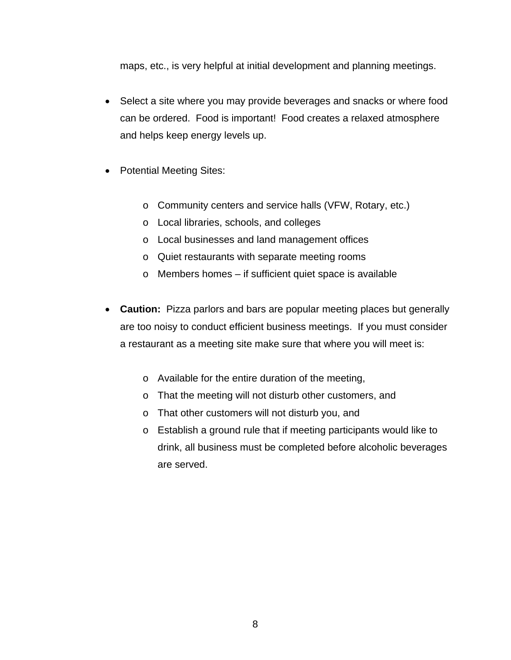maps, etc., is very helpful at initial development and planning meetings.

- Select a site where you may provide beverages and snacks or where food can be ordered. Food is important! Food creates a relaxed atmosphere and helps keep energy levels up.
- Potential Meeting Sites:
	- o Community centers and service halls (VFW, Rotary, etc.)
	- o Local libraries, schools, and colleges
	- o Local businesses and land management offices
	- o Quiet restaurants with separate meeting rooms
	- o Members homes if sufficient quiet space is available
- **Caution:** Pizza parlors and bars are popular meeting places but generally are too noisy to conduct efficient business meetings. If you must consider a restaurant as a meeting site make sure that where you will meet is:
	- o Available for the entire duration of the meeting,
	- o That the meeting will not disturb other customers, and
	- o That other customers will not disturb you, and
	- o Establish a ground rule that if meeting participants would like to drink, all business must be completed before alcoholic beverages are served.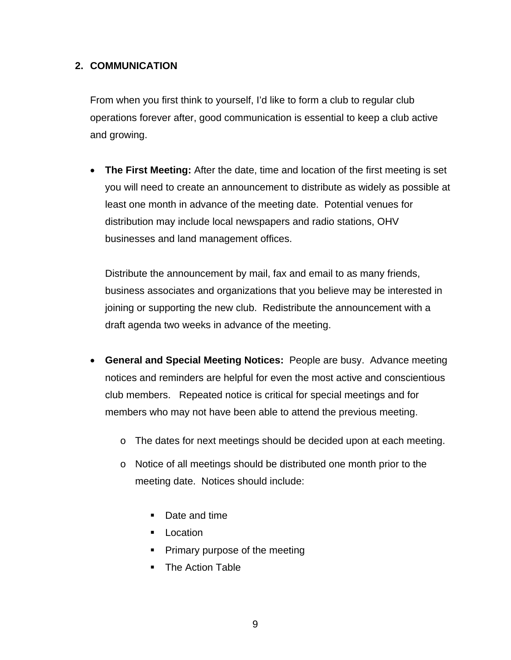# **2. COMMUNICATION**

From when you first think to yourself, I'd like to form a club to regular club operations forever after, good communication is essential to keep a club active and growing.

• **The First Meeting:** After the date, time and location of the first meeting is set you will need to create an announcement to distribute as widely as possible at least one month in advance of the meeting date. Potential venues for distribution may include local newspapers and radio stations, OHV businesses and land management offices.

Distribute the announcement by mail, fax and email to as many friends, business associates and organizations that you believe may be interested in joining or supporting the new club. Redistribute the announcement with a draft agenda two weeks in advance of the meeting.

- **General and Special Meeting Notices:** People are busy. Advance meeting notices and reminders are helpful for even the most active and conscientious club members. Repeated notice is critical for special meetings and for members who may not have been able to attend the previous meeting.
	- o The dates for next meetings should be decided upon at each meeting.
	- o Notice of all meetings should be distributed one month prior to the meeting date. Notices should include:
		- **Date and time**
		- **Location**
		- **Primary purpose of the meeting**
		- The Action Table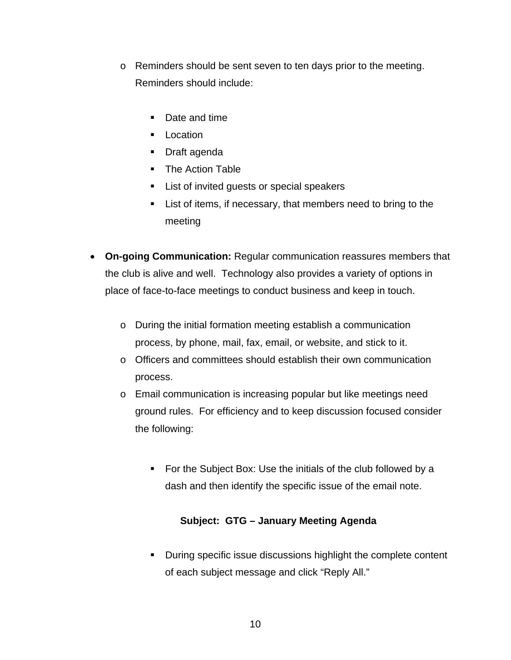- o Reminders should be sent seven to ten days prior to the meeting. Reminders should include:
	- Date and time
	- **Location**
	- **Draft agenda**
	- The Action Table
	- **EXEC** List of invited guests or special speakers
	- List of items, if necessary, that members need to bring to the meeting
- **On-going Communication:** Regular communication reassures members that the club is alive and well. Technology also provides a variety of options in place of face-to-face meetings to conduct business and keep in touch.
	- o During the initial formation meeting establish a communication process, by phone, mail, fax, email, or website, and stick to it.
	- o Officers and committees should establish their own communication process.
	- o Email communication is increasing popular but like meetings need ground rules. For efficiency and to keep discussion focused consider the following:
		- For the Subject Box: Use the initials of the club followed by a dash and then identify the specific issue of the email note.

# **Subject: GTG – January Meeting Agenda**

**During specific issue discussions highlight the complete content** of each subject message and click "Reply All."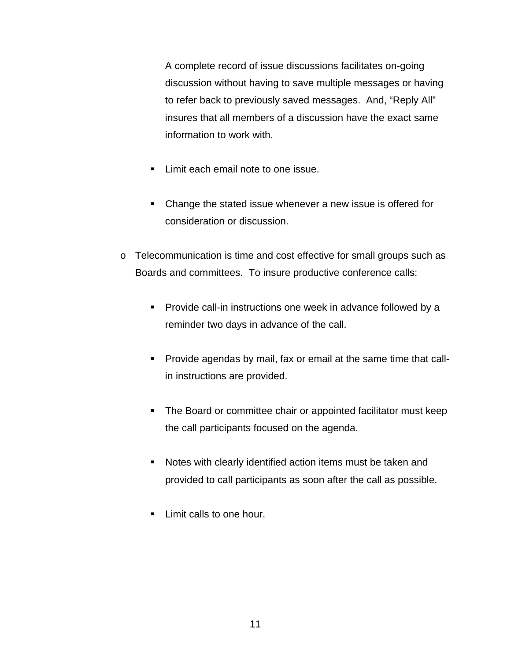A complete record of issue discussions facilitates on-going discussion without having to save multiple messages or having to refer back to previously saved messages. And, "Reply All" insures that all members of a discussion have the exact same information to work with.

- **Limit each email note to one issue.**
- Change the stated issue whenever a new issue is offered for consideration or discussion.
- o Telecommunication is time and cost effective for small groups such as Boards and committees. To insure productive conference calls:
	- **Provide call-in instructions one week in advance followed by a** reminder two days in advance of the call.
	- **Provide agendas by mail, fax or email at the same time that call**in instructions are provided.
	- **The Board or committee chair or appointed facilitator must keep** the call participants focused on the agenda.
	- Notes with clearly identified action items must be taken and provided to call participants as soon after the call as possible.
	- **Limit calls to one hour.**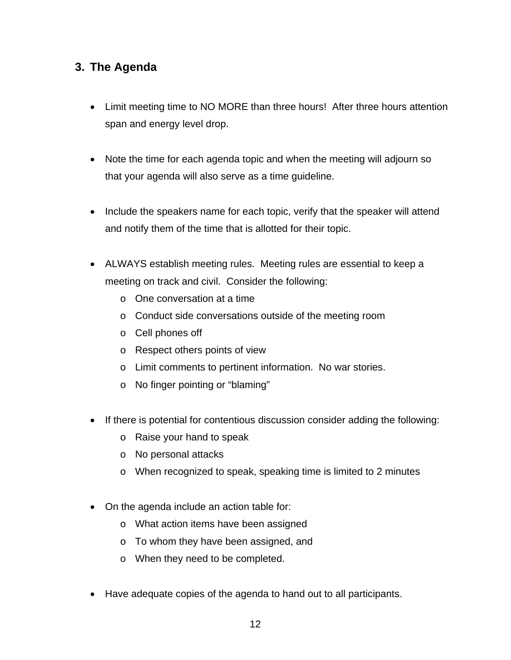# **3. The Agenda**

- Limit meeting time to NO MORE than three hours! After three hours attention span and energy level drop.
- Note the time for each agenda topic and when the meeting will adjourn so that your agenda will also serve as a time guideline.
- Include the speakers name for each topic, verify that the speaker will attend and notify them of the time that is allotted for their topic.
- ALWAYS establish meeting rules. Meeting rules are essential to keep a meeting on track and civil. Consider the following:
	- o One conversation at a time
	- o Conduct side conversations outside of the meeting room
	- o Cell phones off
	- o Respect others points of view
	- o Limit comments to pertinent information. No war stories.
	- o No finger pointing or "blaming"
- If there is potential for contentious discussion consider adding the following:
	- o Raise your hand to speak
	- o No personal attacks
	- o When recognized to speak, speaking time is limited to 2 minutes
- On the agenda include an action table for:
	- o What action items have been assigned
	- o To whom they have been assigned, and
	- o When they need to be completed.
- Have adequate copies of the agenda to hand out to all participants.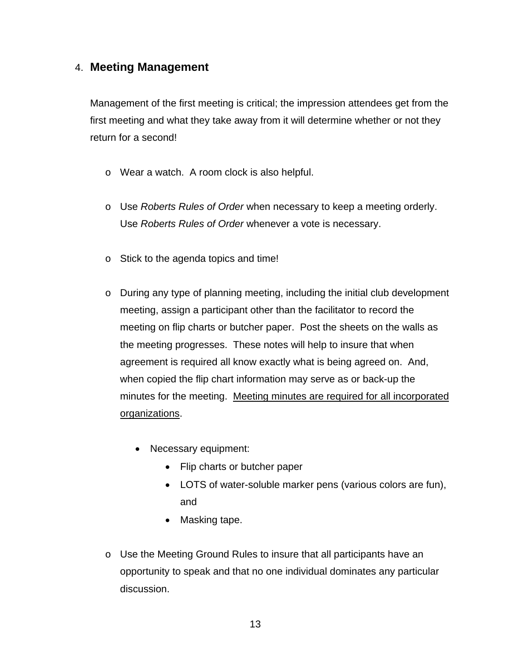# 4. **Meeting Management**

Management of the first meeting is critical; the impression attendees get from the first meeting and what they take away from it will determine whether or not they return for a second!

- o Wear a watch. A room clock is also helpful.
- o Use *Roberts Rules of Order* when necessary to keep a meeting orderly. Use *Roberts Rules of Order* whenever a vote is necessary.
- o Stick to the agenda topics and time!
- o During any type of planning meeting, including the initial club development meeting, assign a participant other than the facilitator to record the meeting on flip charts or butcher paper. Post the sheets on the walls as the meeting progresses. These notes will help to insure that when agreement is required all know exactly what is being agreed on. And, when copied the flip chart information may serve as or back-up the minutes for the meeting. Meeting minutes are required for all incorporated organizations.
	- Necessary equipment:
		- Flip charts or butcher paper
		- LOTS of water-soluble marker pens (various colors are fun), and
		- Masking tape.
- o Use the Meeting Ground Rules to insure that all participants have an opportunity to speak and that no one individual dominates any particular discussion.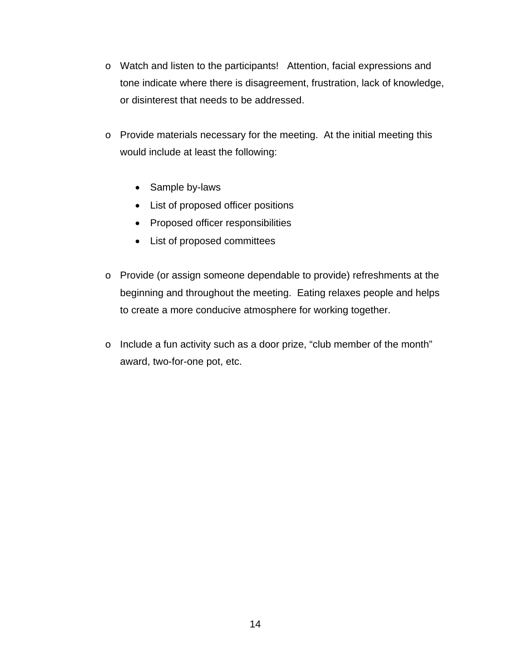- o Watch and listen to the participants! Attention, facial expressions and tone indicate where there is disagreement, frustration, lack of knowledge, or disinterest that needs to be addressed.
- o Provide materials necessary for the meeting. At the initial meeting this would include at least the following:
	- Sample by-laws
	- List of proposed officer positions
	- Proposed officer responsibilities
	- List of proposed committees
- o Provide (or assign someone dependable to provide) refreshments at the beginning and throughout the meeting. Eating relaxes people and helps to create a more conducive atmosphere for working together.
- o Include a fun activity such as a door prize, "club member of the month" award, two-for-one pot, etc.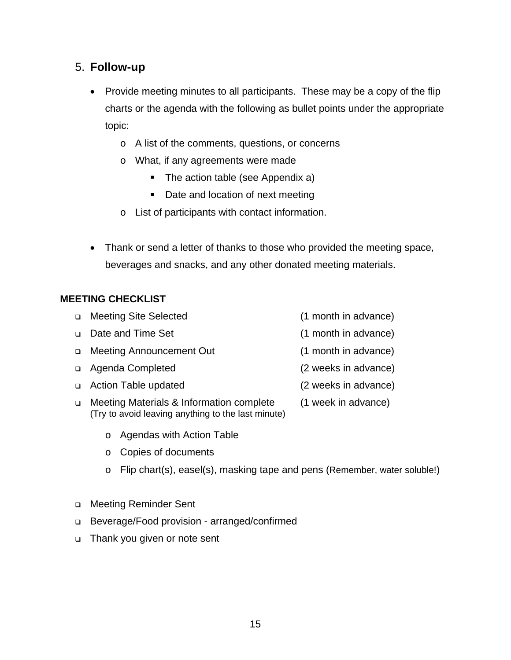15

# 5. **Follow-up**

- Provide meeting minutes to all participants. These may be a copy of the flip charts or the agenda with the following as bullet points under the appropriate topic:
	- o A list of the comments, questions, or concerns
	- o What, if any agreements were made
		- The action table (see Appendix a)
		- Date and location of next meeting
	- o List of participants with contact information.
- Thank or send a letter of thanks to those who provided the meeting space, beverages and snacks, and any other donated meeting materials.

# **MEETING CHECKLIST**

- Meeting Site Selected (1 month in advance) Date and Time Set (1 month in advance)
- Meeting Announcement Out (1 month in advance)
- □ Agenda Completed (2 weeks in advance)
- Action Table updated (2 weeks in advance)
- □ Meeting Materials & Information complete (1 week in advance) (Try to avoid leaving anything to the last minute)
	- o Agendas with Action Table
	- o Copies of documents
	- o Flip chart(s), easel(s), masking tape and pens (Remember, water soluble!)
- □ Meeting Reminder Sent
- Beverage/Food provision arranged/confirmed
- Thank you given or note sent
- -
	-
	-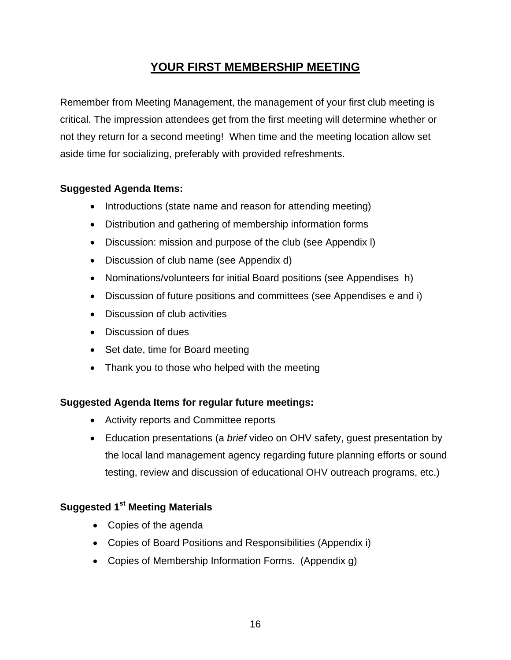# **YOUR FIRST MEMBERSHIP MEETING**

Remember from Meeting Management, the management of your first club meeting is critical. The impression attendees get from the first meeting will determine whether or not they return for a second meeting! When time and the meeting location allow set aside time for socializing, preferably with provided refreshments.

# **Suggested Agenda Items:**

- Introductions (state name and reason for attending meeting)
- Distribution and gathering of membership information forms
- Discussion: mission and purpose of the club (see Appendix l)
- Discussion of club name (see Appendix d)
- Nominations/volunteers for initial Board positions (see Appendises h)
- Discussion of future positions and committees (see Appendises e and i)
- Discussion of club activities
- Discussion of dues
- Set date, time for Board meeting
- Thank you to those who helped with the meeting

# **Suggested Agenda Items for regular future meetings:**

- Activity reports and Committee reports
- Education presentations (a *brief* video on OHV safety, guest presentation by the local land management agency regarding future planning efforts or sound testing, review and discussion of educational OHV outreach programs, etc.)

# **Suggested 1st Meeting Materials**

- Copies of the agenda
- Copies of Board Positions and Responsibilities (Appendix i)
- Copies of Membership Information Forms. (Appendix g)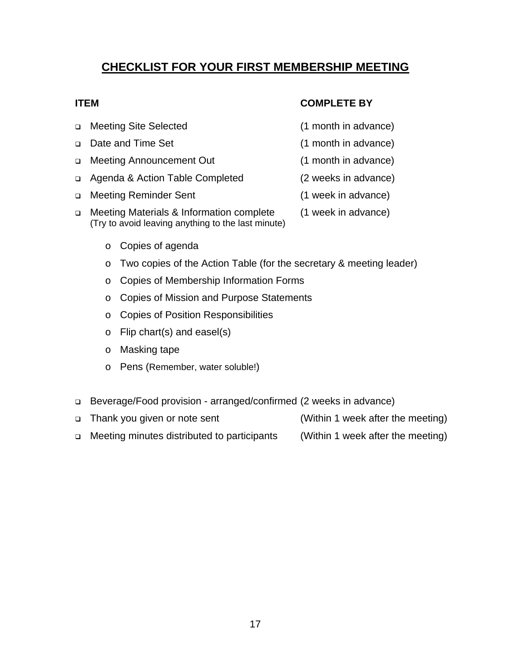**CHECKLIST FOR YOUR FIRST MEMBERSHIP MEETING**

# □ Meeting Site Selected (1 month in advance)

- Date and Time Set (1 month in advance)
- □ Meeting Announcement Out (1 month in advance)
- Agenda & Action Table Completed (2 weeks in advance)
- □ Meeting Reminder Sent (1 week in advance)
- □ Meeting Materials & Information complete (1 week in advance) (Try to avoid leaving anything to the last minute)
	- o Copies of agenda
	- o Two copies of the Action Table (for the secretary & meeting leader)
	- o Copies of Membership Information Forms
	- o Copies of Mission and Purpose Statements
	- o Copies of Position Responsibilities
	- o Flip chart(s) and easel(s)
	- o Masking tape
	- o Pens (Remember, water soluble!)
- Beverage/Food provision arranged/confirmed (2 weeks in advance)
- □ Thank you given or note sent (Within 1 week after the meeting)
- □ Meeting minutes distributed to participants (Within 1 week after the meeting)
- **ITEM COMPLETE BY** 
	-
	-
	-
	-
	-
	-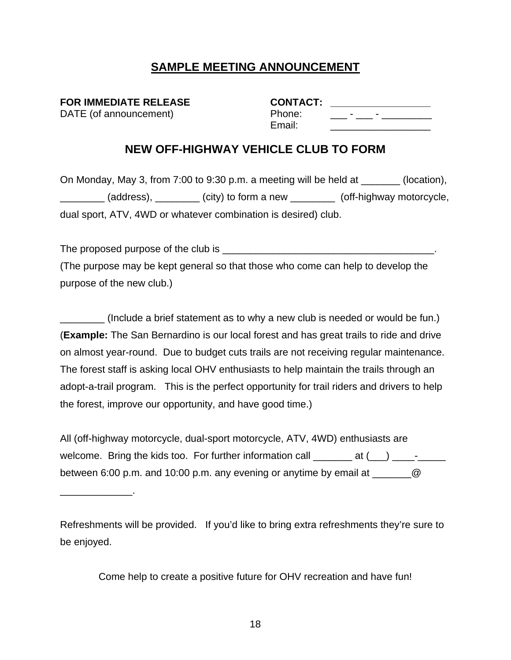# **SAMPLE MEETING ANNOUNCEMENT**

**FOR IMMEDIATE RELEASE** DATE (of announcement)

\_\_\_\_\_\_\_\_\_\_\_\_\_.

| <b>CONTACT:</b> |  |  |
|-----------------|--|--|
| Phone:          |  |  |
| Email:          |  |  |

# **NEW OFF-HIGHWAY VEHICLE CLUB TO FORM**

On Monday, May 3, from 7:00 to 9:30 p.m. a meeting will be held at \_\_\_\_\_\_\_ (location), (address),  $\qquad \qquad$  (city) to form a new  $\qquad \qquad$  (off-highway motorcycle, dual sport, ATV, 4WD or whatever combination is desired) club.

The proposed purpose of the club is \_\_\_\_\_\_\_\_\_\_\_\_\_\_\_\_\_\_\_\_\_\_\_\_\_\_\_\_\_\_\_\_\_\_\_\_\_\_. (The purpose may be kept general so that those who come can help to develop the purpose of the new club.)

(Include a brief statement as to why a new club is needed or would be fun.) (**Example:** The San Bernardino is our local forest and has great trails to ride and drive on almost year-round. Due to budget cuts trails are not receiving regular maintenance. The forest staff is asking local OHV enthusiasts to help maintain the trails through an adopt-a-trail program. This is the perfect opportunity for trail riders and drivers to help the forest, improve our opportunity, and have good time.)

All (off-highway motorcycle, dual-sport motorcycle, ATV, 4WD) enthusiasts are welcome. Bring the kids too. For further information call  $\frac{1}{\sqrt{1-\frac{1}{\sqrt{1-\frac{1}{\sqrt{1-\frac{1}{\sqrt{1-\frac{1}{\sqrt{1-\frac{1}{\sqrt{1-\frac{1}{\sqrt{1-\frac{1}{\sqrt{1-\frac{1}{\sqrt{1-\frac{1}{\sqrt{1-\frac{1}{\sqrt{1-\frac{1}{\sqrt{1-\frac{1}{\sqrt{1-\frac{1}{\sqrt{1-\frac{1}{\sqrt{1-\frac{1}{\sqrt{1-\frac{1}{\sqrt{1-\frac{1}{\sqrt{1$ between 6:00 p.m. and 10:00 p.m. any evening or anytime by email at  $\qquad \qquad \textcircled{2}$ 

Refreshments will be provided. If you'd like to bring extra refreshments they're sure to be enjoyed.

Come help to create a positive future for OHV recreation and have fun!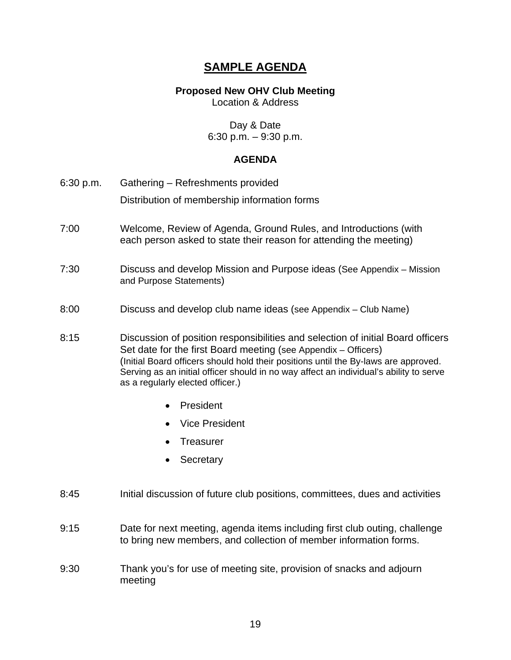# **SAMPLE AGENDA**

## **Proposed New OHV Club Meeting**

Location & Address

Day & Date 6:30 p.m. – 9:30 p.m.

# **AGENDA**

| 6:30 p.m. | Gathering - Refreshments provided                                                                                                                                                                                                                                                                                                  |  |  |  |
|-----------|------------------------------------------------------------------------------------------------------------------------------------------------------------------------------------------------------------------------------------------------------------------------------------------------------------------------------------|--|--|--|
|           | Distribution of membership information forms                                                                                                                                                                                                                                                                                       |  |  |  |
| 7:00      | Welcome, Review of Agenda, Ground Rules, and Introductions (with<br>each person asked to state their reason for attending the meeting)                                                                                                                                                                                             |  |  |  |
| 7:30      | Discuss and develop Mission and Purpose ideas (See Appendix – Mission<br>and Purpose Statements)                                                                                                                                                                                                                                   |  |  |  |
| 8:00      | Discuss and develop club name ideas (see Appendix – Club Name)                                                                                                                                                                                                                                                                     |  |  |  |
| 8:15      | Discussion of position responsibilities and selection of initial Board officers<br>Set date for the first Board meeting (see Appendix – Officers)<br>(Initial Board officers should hold their positions until the By-laws are approved.<br>Serving as an initial officer should in no way affect an individual's ability to serve |  |  |  |

• President

as a regularly elected officer.)

- Vice President
- Treasurer
- **Secretary**
- 8:45 Initial discussion of future club positions, committees, dues and activities
- 9:15 Date for next meeting, agenda items including first club outing, challenge to bring new members, and collection of member information forms.
- 9:30 Thank you's for use of meeting site, provision of snacks and adjourn meeting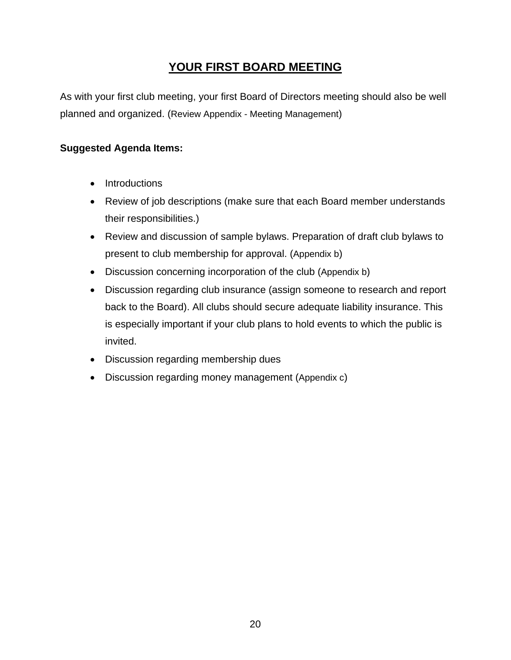# **YOUR FIRST BOARD MEETING**

As with your first club meeting, your first Board of Directors meeting should also be well planned and organized. (Review Appendix - Meeting Management)

# **Suggested Agenda Items:**

- Introductions
- Review of job descriptions (make sure that each Board member understands their responsibilities.)
- Review and discussion of sample bylaws. Preparation of draft club bylaws to present to club membership for approval. (Appendix b)
- Discussion concerning incorporation of the club (Appendix b)
- Discussion regarding club insurance (assign someone to research and report back to the Board). All clubs should secure adequate liability insurance. This is especially important if your club plans to hold events to which the public is invited.
- Discussion regarding membership dues
- Discussion regarding money management (Appendix c)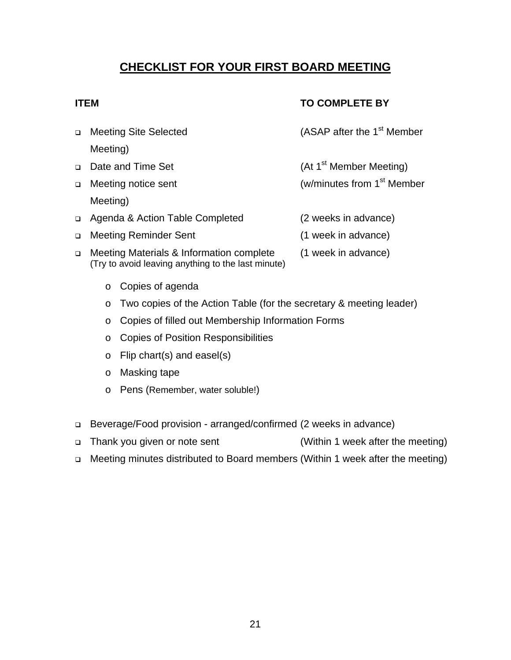# **CHECKLIST FOR YOUR FIRST BOARD MEETING**

# **ITEM** TO COMPLETE BY

- □ Meeting Site Selected (ASAP after the 1<sup>st</sup> Member Meeting)
- □ Date and Time Set (At 1<sup>st</sup> Member Meeting)
- □ Meeting notice sent (w/minutes from 1<sup>st</sup> Member Meeting)
- Agenda & Action Table Completed (2 weeks in advance)
- Meeting Reminder Sent (1 week in advance)
- □ Meeting Materials & Information complete (1 week in advance) (Try to avoid leaving anything to the last minute)
	- o Copies of agenda
	- o Two copies of the Action Table (for the secretary & meeting leader)
	- o Copies of filled out Membership Information Forms
	- o Copies of Position Responsibilities
	- o Flip chart(s) and easel(s)
	- o Masking tape
	- o Pens (Remember, water soluble!)
- Beverage/Food provision arranged/confirmed (2 weeks in advance)
- □ Thank you given or note sent (Within 1 week after the meeting)
- Meeting minutes distributed to Board members (Within 1 week after the meeting)
- 
- 
- 
- 
-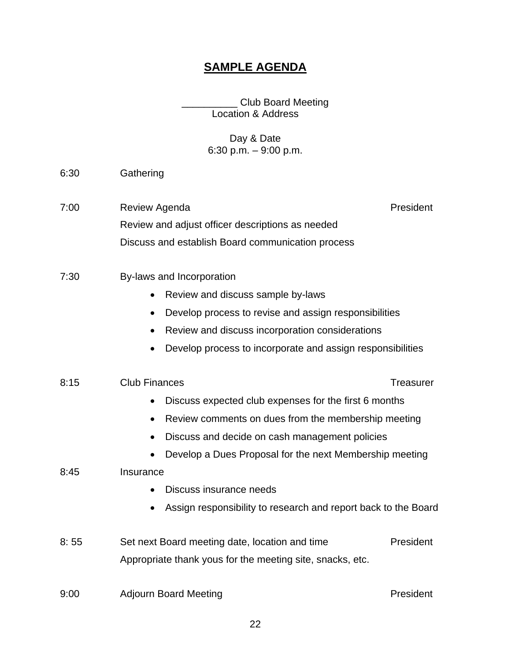# **SAMPLE AGENDA**

\_\_\_\_\_\_\_\_\_\_ Club Board Meeting Location & Address

# Day & Date 6:30 p.m. – 9:00 p.m.

- 6:30 Gathering
- 7:00 Review Agenda **President** Review and adjust officer descriptions as needed Discuss and establish Board communication process
- 7:30 By-laws and Incorporation
	- Review and discuss sample by-laws
	- Develop process to revise and assign responsibilities
	- Review and discuss incorporation considerations
	- Develop process to incorporate and assign responsibilities

#### 8:15 Club Finances Club Finances Club Finances Club Stream Club Stream Treasurer

- Discuss expected club expenses for the first 6 months
- Review comments on dues from the membership meeting
- Discuss and decide on cash management policies
- Develop a Dues Proposal for the next Membership meeting

#### 8:45 Insurance

- Discuss insurance needs
- Assign responsibility to research and report back to the Board
- 8: 55 Set next Board meeting date, location and time President Appropriate thank yous for the meeting site, snacks, etc.

#### 9:00 Adjourn Board Meeting **President** President

22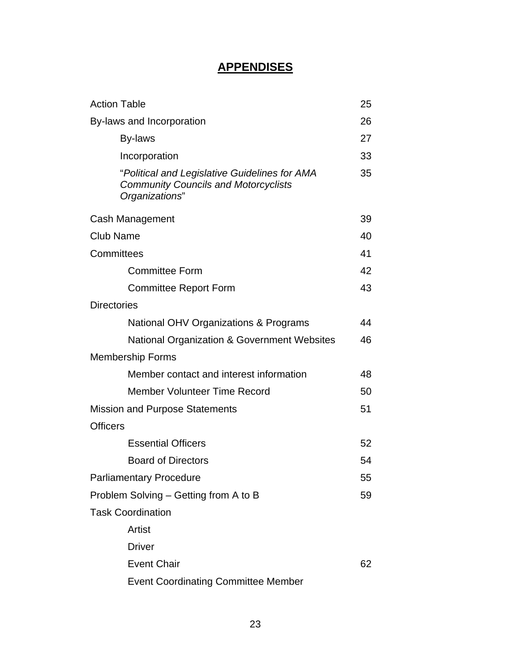# **APPENDISES**

| <b>Action Table</b>                                                                                            | 25 |
|----------------------------------------------------------------------------------------------------------------|----|
| By-laws and Incorporation                                                                                      | 26 |
| By-laws                                                                                                        | 27 |
| Incorporation                                                                                                  | 33 |
| "Political and Legislative Guidelines for AMA<br><b>Community Councils and Motorcyclists</b><br>Organizations" | 35 |
| Cash Management                                                                                                | 39 |
| <b>Club Name</b>                                                                                               | 40 |
| Committees                                                                                                     | 41 |
| <b>Committee Form</b>                                                                                          | 42 |
| <b>Committee Report Form</b>                                                                                   | 43 |
| <b>Directories</b>                                                                                             |    |
| National OHV Organizations & Programs                                                                          | 44 |
| National Organization & Government Websites                                                                    | 46 |
| <b>Membership Forms</b>                                                                                        |    |
| Member contact and interest information                                                                        | 48 |
| Member Volunteer Time Record                                                                                   | 50 |
| Mission and Purpose Statements                                                                                 | 51 |
| <b>Officers</b>                                                                                                |    |
| <b>Essential Officers</b>                                                                                      | 52 |
| <b>Board of Directors</b>                                                                                      | 54 |
| <b>Parliamentary Procedure</b>                                                                                 | 55 |
| Problem Solving – Getting from A to B                                                                          | 59 |
| <b>Task Coordination</b>                                                                                       |    |
| Artist                                                                                                         |    |
| <b>Driver</b>                                                                                                  |    |
| <b>Event Chair</b>                                                                                             | 62 |
| <b>Event Coordinating Committee Member</b>                                                                     |    |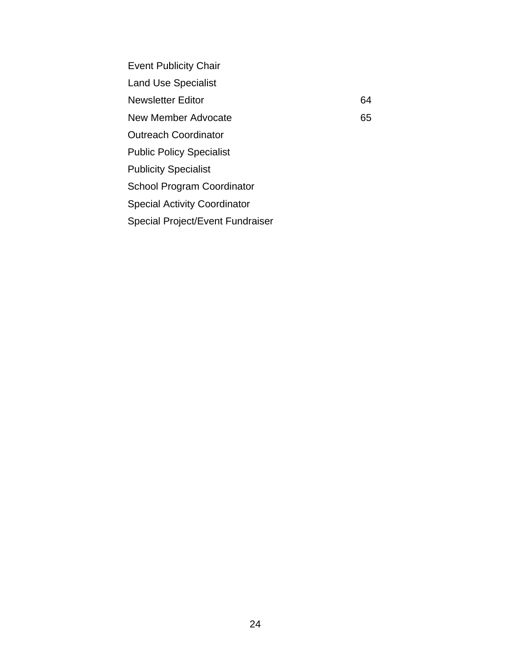Event Publicity Chair Land Use Specialist Newsletter Editor 64 New Member Advocate 65 Outreach Coordinator Public Policy Specialist Publicity Specialist School Program Coordinator Special Activity Coordinator Special Project/Event Fundraiser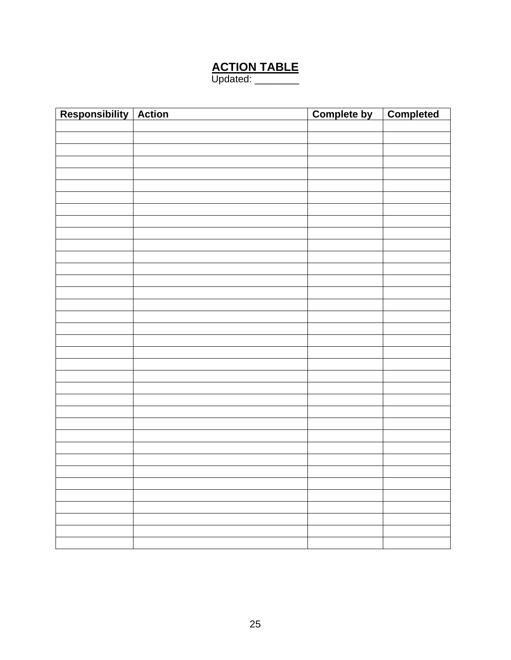# **ACTION TABLE**

Updated: \_\_\_\_\_\_\_\_

| Responsibility Action | <b>Complete by</b> | <b>Completed</b> |
|-----------------------|--------------------|------------------|
|                       |                    |                  |
|                       |                    |                  |
|                       |                    |                  |
|                       |                    |                  |
|                       |                    |                  |
|                       |                    |                  |
|                       |                    |                  |
|                       |                    |                  |
|                       |                    |                  |
|                       |                    |                  |
|                       |                    |                  |
|                       |                    |                  |
|                       |                    |                  |
|                       |                    |                  |
|                       |                    |                  |
|                       |                    |                  |
|                       |                    |                  |
|                       |                    |                  |
|                       |                    |                  |
|                       |                    |                  |
|                       |                    |                  |
|                       |                    |                  |
|                       |                    |                  |
|                       |                    |                  |
|                       |                    |                  |
|                       |                    |                  |
|                       |                    |                  |
|                       |                    |                  |
|                       |                    |                  |
|                       |                    |                  |
|                       |                    |                  |
|                       |                    |                  |
|                       |                    |                  |
|                       |                    |                  |
|                       |                    |                  |
|                       |                    |                  |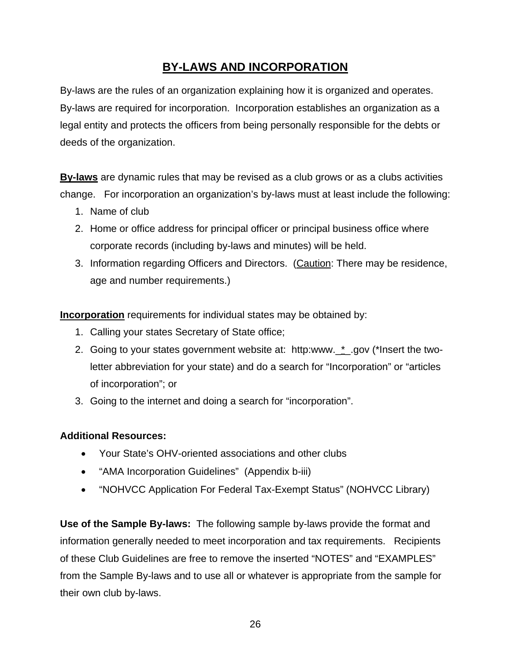# **BY-LAWS AND INCORPORATION**

By-laws are the rules of an organization explaining how it is organized and operates. By-laws are required for incorporation. Incorporation establishes an organization as a legal entity and protects the officers from being personally responsible for the debts or deeds of the organization.

**By-laws** are dynamic rules that may be revised as a club grows or as a clubs activities change. For incorporation an organization's by-laws must at least include the following:

- 1. Name of club
- 2. Home or office address for principal officer or principal business office where corporate records (including by-laws and minutes) will be held.
- 3. Information regarding Officers and Directors. (Caution: There may be residence, age and number requirements.)

**Incorporation** requirements for individual states may be obtained by:

- 1. Calling your states Secretary of State office;
- 2. Going to your states government website at: http:www.\_\*\_.gov (\*Insert the twoletter abbreviation for your state) and do a search for "Incorporation" or "articles of incorporation"; or
- 3. Going to the internet and doing a search for "incorporation".

# **Additional Resources:**

- Your State's OHV-oriented associations and other clubs
- "AMA Incorporation Guidelines" (Appendix b-iii)
- "NOHVCC Application For Federal Tax-Exempt Status" (NOHVCC Library)

**Use of the Sample By-laws:** The following sample by-laws provide the format and information generally needed to meet incorporation and tax requirements. Recipients of these Club Guidelines are free to remove the inserted "NOTES" and "EXAMPLES" from the Sample By-laws and to use all or whatever is appropriate from the sample for their own club by-laws.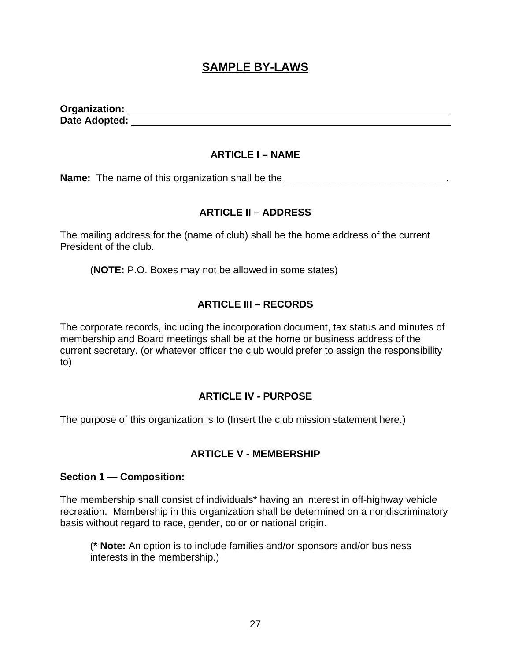# **SAMPLE BY-LAWS**

**Organization: Date Adopted:** 

#### **ARTICLE I – NAME**

**Name:** The name of this organization shall be the \_\_\_\_\_\_\_\_\_\_\_\_\_\_\_\_\_\_\_\_\_\_\_\_\_\_\_\_\_\_.

# **ARTICLE II – ADDRESS**

The mailing address for the (name of club) shall be the home address of the current President of the club.

(**NOTE:** P.O. Boxes may not be allowed in some states)

# **ARTICLE III – RECORDS**

The corporate records, including the incorporation document, tax status and minutes of membership and Board meetings shall be at the home or business address of the current secretary. (or whatever officer the club would prefer to assign the responsibility to)

# **ARTICLE IV - PURPOSE**

The purpose of this organization is to (Insert the club mission statement here.)

#### **ARTICLE V - MEMBERSHIP**

#### **Section 1 — Composition:**

The membership shall consist of individuals\* having an interest in off-highway vehicle recreation. Membership in this organization shall be determined on a nondiscriminatory basis without regard to race, gender, color or national origin.

(**\* Note:** An option is to include families and/or sponsors and/or business interests in the membership.)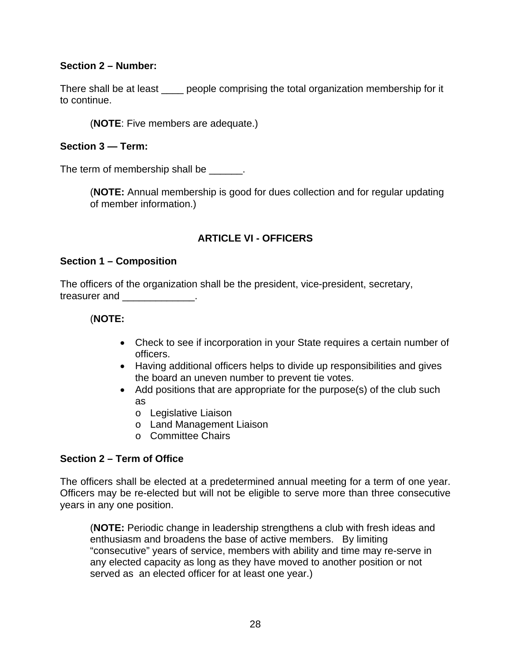# **Section 2 – Number:**

There shall be at least endougher comprising the total organization membership for it to continue.

(**NOTE**: Five members are adequate.)

## **Section 3 — Term:**

The term of membership shall be \_\_\_\_\_\_.

(**NOTE:** Annual membership is good for dues collection and for regular updating of member information.)

# **ARTICLE VI - OFFICERS**

# **Section 1 – Composition**

The officers of the organization shall be the president, vice-president, secretary, treasurer and \_\_\_\_\_\_\_\_\_\_\_\_\_.

# (**NOTE:**

- Check to see if incorporation in your State requires a certain number of officers.
- Having additional officers helps to divide up responsibilities and gives the board an uneven number to prevent tie votes.
- Add positions that are appropriate for the purpose(s) of the club such as
	- o Legislative Liaison
	- o Land Management Liaison
	- o Committee Chairs

# **Section 2 – Term of Office**

The officers shall be elected at a predetermined annual meeting for a term of one year. Officers may be re-elected but will not be eligible to serve more than three consecutive years in any one position.

(**NOTE:** Periodic change in leadership strengthens a club with fresh ideas and enthusiasm and broadens the base of active members. By limiting "consecutive" years of service, members with ability and time may re-serve in any elected capacity as long as they have moved to another position or not served as an elected officer for at least one year.)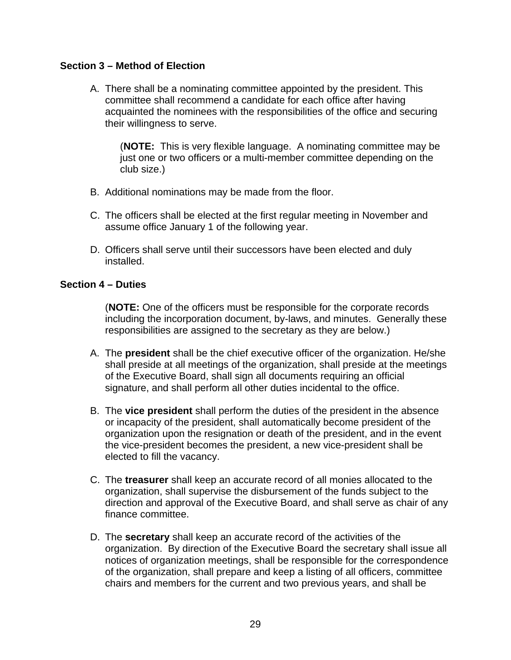## **Section 3 – Method of Election**

A. There shall be a nominating committee appointed by the president. This committee shall recommend a candidate for each office after having acquainted the nominees with the responsibilities of the office and securing their willingness to serve.

(**NOTE:** This is very flexible language. A nominating committee may be just one or two officers or a multi-member committee depending on the club size.)

- B. Additional nominations may be made from the floor.
- C. The officers shall be elected at the first regular meeting in November and assume office January 1 of the following year.
- D. Officers shall serve until their successors have been elected and duly installed.

#### **Section 4 – Duties**

(**NOTE:** One of the officers must be responsible for the corporate records including the incorporation document, by-laws, and minutes. Generally these responsibilities are assigned to the secretary as they are below.)

- A. The **president** shall be the chief executive officer of the organization. He/she shall preside at all meetings of the organization, shall preside at the meetings of the Executive Board, shall sign all documents requiring an official signature, and shall perform all other duties incidental to the office.
- B. The **vice president** shall perform the duties of the president in the absence or incapacity of the president, shall automatically become president of the organization upon the resignation or death of the president, and in the event the vice-president becomes the president, a new vice-president shall be elected to fill the vacancy.
- C. The **treasurer** shall keep an accurate record of all monies allocated to the organization, shall supervise the disbursement of the funds subject to the direction and approval of the Executive Board, and shall serve as chair of any finance committee.
- D. The **secretary** shall keep an accurate record of the activities of the organization. By direction of the Executive Board the secretary shall issue all notices of organization meetings, shall be responsible for the correspondence of the organization, shall prepare and keep a listing of all officers, committee chairs and members for the current and two previous years, and shall be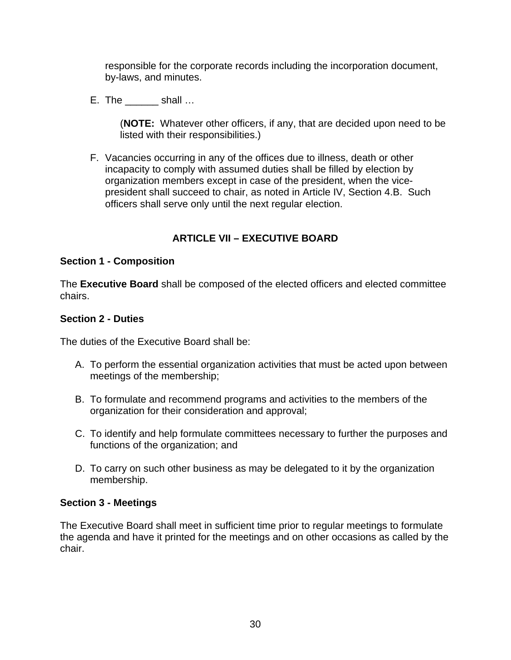responsible for the corporate records including the incorporation document, by-laws, and minutes.

E. The shall …

(**NOTE:** Whatever other officers, if any, that are decided upon need to be listed with their responsibilities.)

F. Vacancies occurring in any of the offices due to illness, death or other incapacity to comply with assumed duties shall be filled by election by organization members except in case of the president, when the vicepresident shall succeed to chair, as noted in Article IV, Section 4.B. Such officers shall serve only until the next regular election.

# **ARTICLE VII – EXECUTIVE BOARD**

#### **Section 1 - Composition**

The **Executive Board** shall be composed of the elected officers and elected committee chairs.

#### **Section 2 - Duties**

The duties of the Executive Board shall be:

- A. To perform the essential organization activities that must be acted upon between meetings of the membership;
- B. To formulate and recommend programs and activities to the members of the organization for their consideration and approval;
- C. To identify and help formulate committees necessary to further the purposes and functions of the organization; and
- D. To carry on such other business as may be delegated to it by the organization membership.

#### **Section 3 - Meetings**

The Executive Board shall meet in sufficient time prior to regular meetings to formulate the agenda and have it printed for the meetings and on other occasions as called by the chair.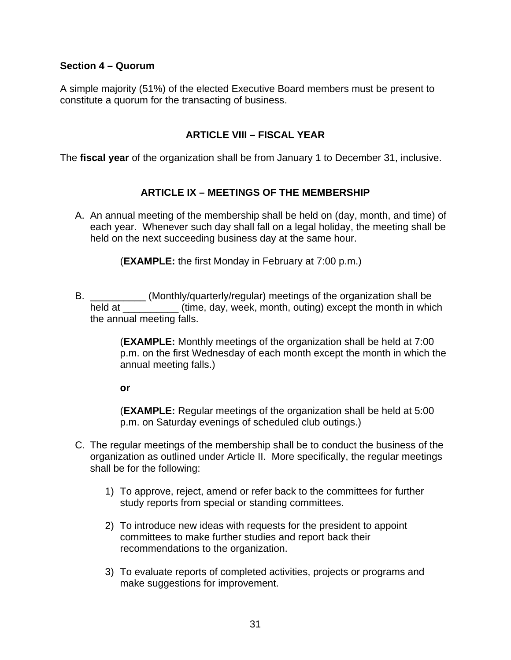#### **Section 4 – Quorum**

A simple majority (51%) of the elected Executive Board members must be present to constitute a quorum for the transacting of business.

#### **ARTICLE VIII – FISCAL YEAR**

The **fiscal year** of the organization shall be from January 1 to December 31, inclusive.

#### **ARTICLE IX – MEETINGS OF THE MEMBERSHIP**

A. An annual meeting of the membership shall be held on (day, month, and time) of each year. Whenever such day shall fall on a legal holiday, the meeting shall be held on the next succeeding business day at the same hour.

(**EXAMPLE:** the first Monday in February at 7:00 p.m.)

B. \_\_\_\_\_\_\_\_\_\_ (Monthly/quarterly/regular) meetings of the organization shall be held at  $\qquad \qquad$  (time, day, week, month, outing) except the month in which the annual meeting falls.

> (**EXAMPLE:** Monthly meetings of the organization shall be held at 7:00 p.m. on the first Wednesday of each month except the month in which the annual meeting falls.)

**or** 

(**EXAMPLE:** Regular meetings of the organization shall be held at 5:00 p.m. on Saturday evenings of scheduled club outings.)

- C. The regular meetings of the membership shall be to conduct the business of the organization as outlined under Article II. More specifically, the regular meetings shall be for the following:
	- 1) To approve, reject, amend or refer back to the committees for further study reports from special or standing committees.
	- 2) To introduce new ideas with requests for the president to appoint committees to make further studies and report back their recommendations to the organization.
	- 3) To evaluate reports of completed activities, projects or programs and make suggestions for improvement.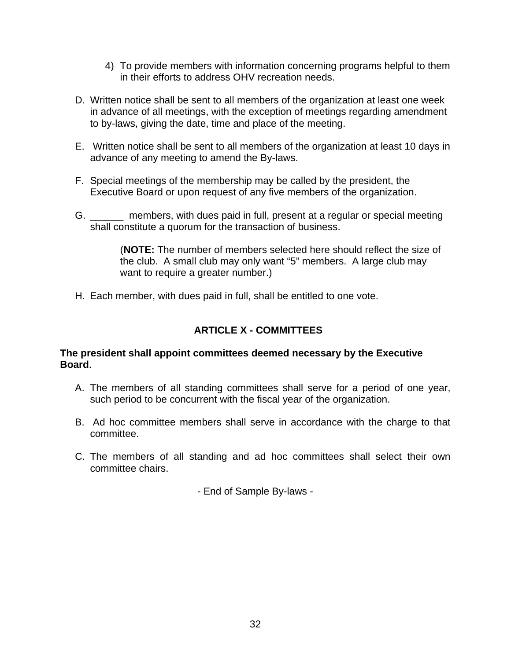- 4) To provide members with information concerning programs helpful to them in their efforts to address OHV recreation needs.
- D. Written notice shall be sent to all members of the organization at least one week in advance of all meetings, with the exception of meetings regarding amendment to by-laws, giving the date, time and place of the meeting.
- E. Written notice shall be sent to all members of the organization at least 10 days in advance of any meeting to amend the By-laws.
- F. Special meetings of the membership may be called by the president, the Executive Board or upon request of any five members of the organization.
- G. \_\_\_\_\_\_ members, with dues paid in full, present at a regular or special meeting shall constitute a quorum for the transaction of business.

(**NOTE:** The number of members selected here should reflect the size of the club. A small club may only want "5" members. A large club may want to require a greater number.)

H. Each member, with dues paid in full, shall be entitled to one vote.

# **ARTICLE X - COMMITTEES**

#### **The president shall appoint committees deemed necessary by the Executive Board**.

- A. The members of all standing committees shall serve for a period of one year, such period to be concurrent with the fiscal year of the organization.
- B. Ad hoc committee members shall serve in accordance with the charge to that committee.
- C. The members of all standing and ad hoc committees shall select their own committee chairs.

- End of Sample By-laws -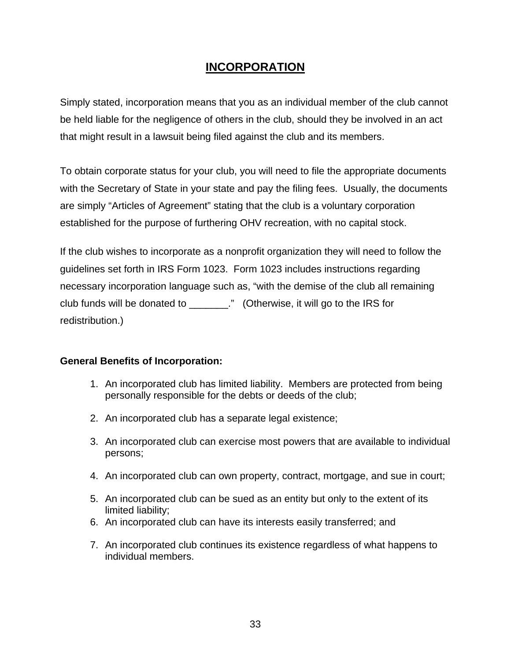# **INCORPORATION**

Simply stated, incorporation means that you as an individual member of the club cannot be held liable for the negligence of others in the club, should they be involved in an act that might result in a lawsuit being filed against the club and its members.

To obtain corporate status for your club, you will need to file the appropriate documents with the Secretary of State in your state and pay the filing fees. Usually, the documents are simply "Articles of Agreement" stating that the club is a voluntary corporation established for the purpose of furthering OHV recreation, with no capital stock.

If the club wishes to incorporate as a nonprofit organization they will need to follow the guidelines set forth in IRS Form 1023. Form 1023 includes instructions regarding necessary incorporation language such as, "with the demise of the club all remaining club funds will be donated to \_\_\_\_\_\_\_." (Otherwise, it will go to the IRS for redistribution.)

# **General Benefits of Incorporation:**

- 1. An incorporated club has limited liability. Members are protected from being personally responsible for the debts or deeds of the club;
- 2. An incorporated club has a separate legal existence;
- 3. An incorporated club can exercise most powers that are available to individual persons;
- 4. An incorporated club can own property, contract, mortgage, and sue in court;
- 5. An incorporated club can be sued as an entity but only to the extent of its limited liability;
- 6. An incorporated club can have its interests easily transferred; and
- 7. An incorporated club continues its existence regardless of what happens to individual members.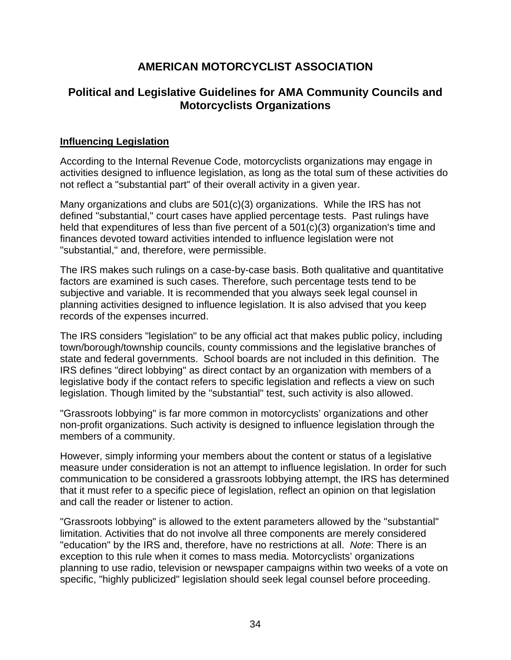# **AMERICAN MOTORCYCLIST ASSOCIATION**

# **Political and Legislative Guidelines for AMA Community Councils and Motorcyclists Organizations**

## **Influencing Legislation**

According to the Internal Revenue Code, motorcyclists organizations may engage in activities designed to influence legislation, as long as the total sum of these activities do not reflect a "substantial part" of their overall activity in a given year.

Many organizations and clubs are 501(c)(3) organizations. While the IRS has not defined "substantial," court cases have applied percentage tests. Past rulings have held that expenditures of less than five percent of a 501(c)(3) organization's time and finances devoted toward activities intended to influence legislation were not "substantial," and, therefore, were permissible.

The IRS makes such rulings on a case-by-case basis. Both qualitative and quantitative factors are examined is such cases. Therefore, such percentage tests tend to be subjective and variable. It is recommended that you always seek legal counsel in planning activities designed to influence legislation. It is also advised that you keep records of the expenses incurred.

The IRS considers "legislation" to be any official act that makes public policy, including town/borough/township councils, county commissions and the legislative branches of state and federal governments. School boards are not included in this definition. The IRS defines "direct lobbying" as direct contact by an organization with members of a legislative body if the contact refers to specific legislation and reflects a view on such legislation. Though limited by the "substantial" test, such activity is also allowed.

"Grassroots lobbying" is far more common in motorcyclists' organizations and other non-profit organizations. Such activity is designed to influence legislation through the members of a community.

However, simply informing your members about the content or status of a legislative measure under consideration is not an attempt to influence legislation. In order for such communication to be considered a grassroots lobbying attempt, the IRS has determined that it must refer to a specific piece of legislation, reflect an opinion on that legislation and call the reader or listener to action.

"Grassroots lobbying" is allowed to the extent parameters allowed by the "substantial" limitation. Activities that do not involve all three components are merely considered "education" by the IRS and, therefore, have no restrictions at all. *Note*: There is an exception to this rule when it comes to mass media. Motorcyclists' organizations planning to use radio, television or newspaper campaigns within two weeks of a vote on specific, "highly publicized" legislation should seek legal counsel before proceeding.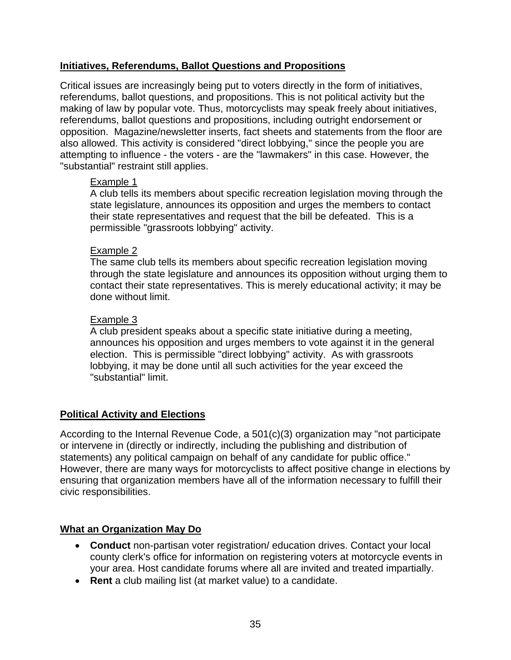# **Initiatives, Referendums, Ballot Questions and Propositions**

Critical issues are increasingly being put to voters directly in the form of initiatives, referendums, ballot questions, and propositions. This is not political activity but the making of law by popular vote. Thus, motorcyclists may speak freely about initiatives, referendums, ballot questions and propositions, including outright endorsement or opposition. Magazine/newsletter inserts, fact sheets and statements from the floor are also allowed. This activity is considered "direct lobbying," since the people you are attempting to influence - the voters - are the "lawmakers" in this case. However, the "substantial" restraint still applies.

# Example 1

A club tells its members about specific recreation legislation moving through the state legislature, announces its opposition and urges the members to contact their state representatives and request that the bill be defeated. This is a permissible "grassroots lobbying" activity.

# Example 2

The same club tells its members about specific recreation legislation moving through the state legislature and announces its opposition without urging them to contact their state representatives. This is merely educational activity; it may be done without limit.

# Example 3

A club president speaks about a specific state initiative during a meeting, announces his opposition and urges members to vote against it in the general election. This is permissible "direct lobbying" activity. As with grassroots lobbying, it may be done until all such activities for the year exceed the "substantial" limit.

# **Political Activity and Elections**

According to the Internal Revenue Code, a 501(c)(3) organization may "not participate or intervene in (directly or indirectly, including the publishing and distribution of statements) any political campaign on behalf of any candidate for public office." However, there are many ways for motorcyclists to affect positive change in elections by ensuring that organization members have all of the information necessary to fulfill their civic responsibilities.

# **What an Organization May Do**

- **Conduct** non-partisan voter registration/ education drives. Contact your local county clerk's office for information on registering voters at motorcycle events in your area. Host candidate forums where all are invited and treated impartially.
- **Rent** a club mailing list (at market value) to a candidate.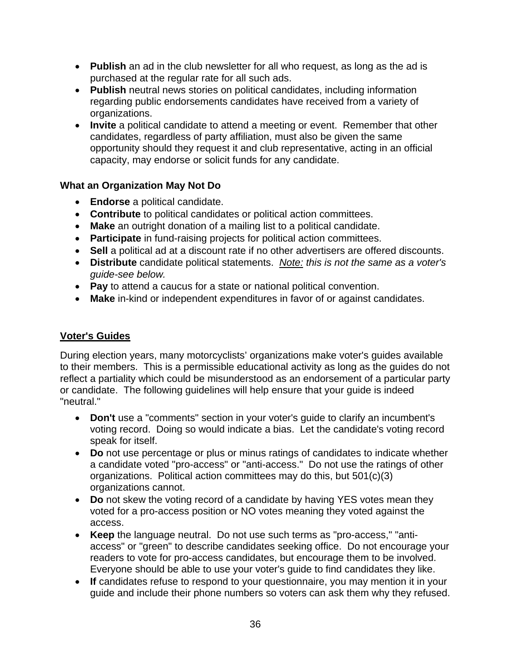- **Publish** an ad in the club newsletter for all who request, as long as the ad is purchased at the regular rate for all such ads.
- **Publish** neutral news stories on political candidates, including information regarding public endorsements candidates have received from a variety of organizations.
- **Invite** a political candidate to attend a meeting or event. Remember that other candidates, regardless of party affiliation, must also be given the same opportunity should they request it and club representative, acting in an official capacity, may endorse or solicit funds for any candidate.

# **What an Organization May Not Do**

- **Endorse** a political candidate.
- **Contribute** to political candidates or political action committees.
- **Make** an outright donation of a mailing list to a political candidate.
- **Participate** in fund-raising projects for political action committees.
- **Sell** a political ad at a discount rate if no other advertisers are offered discounts.
- **Distribute** candidate political statements. *Note: this is not the same as a voter's guide-see below.*
- **Pay** to attend a caucus for a state or national political convention.
- **Make** in-kind or independent expenditures in favor of or against candidates.

# **Voter's Guides**

During election years, many motorcyclists' organizations make voter's guides available to their members. This is a permissible educational activity as long as the guides do not reflect a partiality which could be misunderstood as an endorsement of a particular party or candidate. The following guidelines will help ensure that your guide is indeed "neutral."

- **Don't** use a "comments" section in your voter's guide to clarify an incumbent's voting record. Doing so would indicate a bias. Let the candidate's voting record speak for itself.
- **Do** not use percentage or plus or minus ratings of candidates to indicate whether a candidate voted "pro-access" or "anti-access." Do not use the ratings of other organizations. Political action committees may do this, but 501(c)(3) organizations cannot.
- **Do** not skew the voting record of a candidate by having YES votes mean they voted for a pro-access position or NO votes meaning they voted against the access.
- **Keep** the language neutral. Do not use such terms as "pro-access," "antiaccess" or "green" to describe candidates seeking office. Do not encourage your readers to vote for pro-access candidates, but encourage them to be involved. Everyone should be able to use your voter's guide to find candidates they like.
- **If** candidates refuse to respond to your questionnaire, you may mention it in your guide and include their phone numbers so voters can ask them why they refused.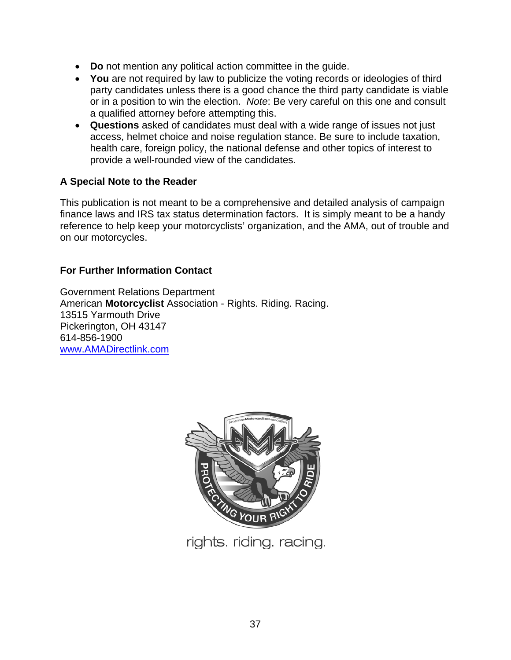- **Do** not mention any political action committee in the guide.
- **You** are not required by law to publicize the voting records or ideologies of third party candidates unless there is a good chance the third party candidate is viable or in a position to win the election. *Note*: Be very careful on this one and consult a qualified attorney before attempting this.
- **Questions** asked of candidates must deal with a wide range of issues not just access, helmet choice and noise regulation stance. Be sure to include taxation, health care, foreign policy, the national defense and other topics of interest to provide a well-rounded view of the candidates.

# **A Special Note to the Reader**

This publication is not meant to be a comprehensive and detailed analysis of campaign finance laws and IRS tax status determination factors. It is simply meant to be a handy reference to help keep your motorcyclists' organization, and the AMA, out of trouble and on our motorcycles.

# **For Further Information Contact**

Government Relations Department American **Motorcyclist** Association - Rights. Riding. Racing. 13515 Yarmouth Drive Pickerington, OH 43147 614-856-1900 www.AMADirectlink.com



rights. riding. racing.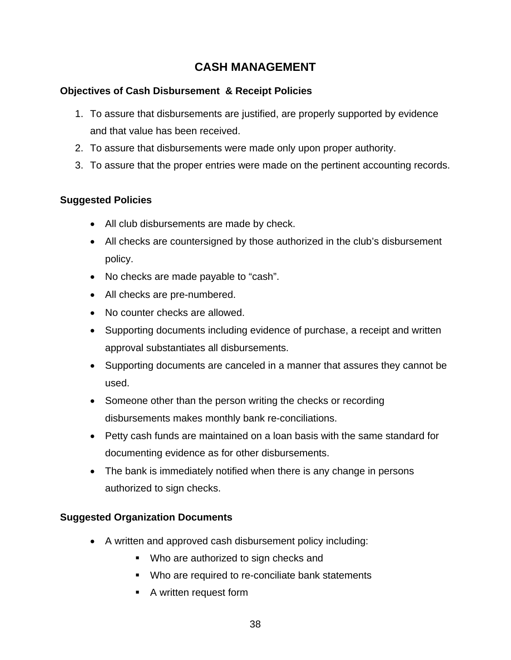# **CASH MANAGEMENT**

# **Objectives of Cash Disbursement & Receipt Policies**

- 1. To assure that disbursements are justified, are properly supported by evidence and that value has been received.
- 2. To assure that disbursements were made only upon proper authority.
- 3. To assure that the proper entries were made on the pertinent accounting records.

# **Suggested Policies**

- All club disbursements are made by check.
- All checks are countersigned by those authorized in the club's disbursement policy.
- No checks are made payable to "cash".
- All checks are pre-numbered.
- No counter checks are allowed.
- Supporting documents including evidence of purchase, a receipt and written approval substantiates all disbursements.
- Supporting documents are canceled in a manner that assures they cannot be used.
- Someone other than the person writing the checks or recording disbursements makes monthly bank re-conciliations.
- Petty cash funds are maintained on a loan basis with the same standard for documenting evidence as for other disbursements.
- The bank is immediately notified when there is any change in persons authorized to sign checks.

# **Suggested Organization Documents**

- A written and approved cash disbursement policy including:
	- **Who are authorized to sign checks and**
	- **Who are required to re-conciliate bank statements**
	- A written request form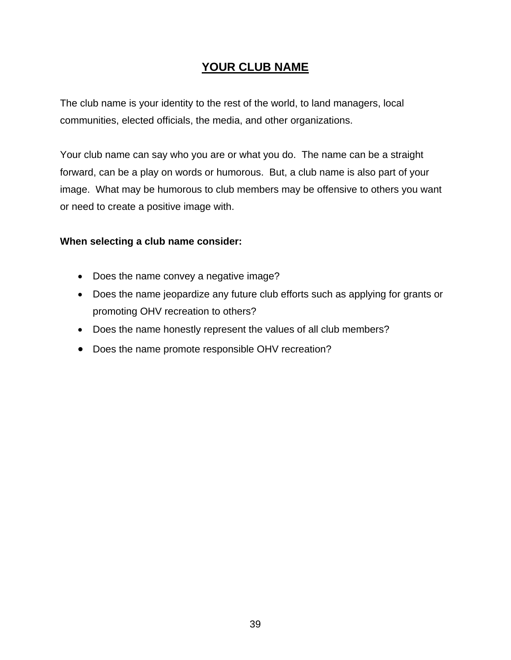# **YOUR CLUB NAME**

The club name is your identity to the rest of the world, to land managers, local communities, elected officials, the media, and other organizations.

Your club name can say who you are or what you do. The name can be a straight forward, can be a play on words or humorous. But, a club name is also part of your image. What may be humorous to club members may be offensive to others you want or need to create a positive image with.

#### **When selecting a club name consider:**

- Does the name convey a negative image?
- Does the name jeopardize any future club efforts such as applying for grants or promoting OHV recreation to others?
- Does the name honestly represent the values of all club members?
- Does the name promote responsible OHV recreation?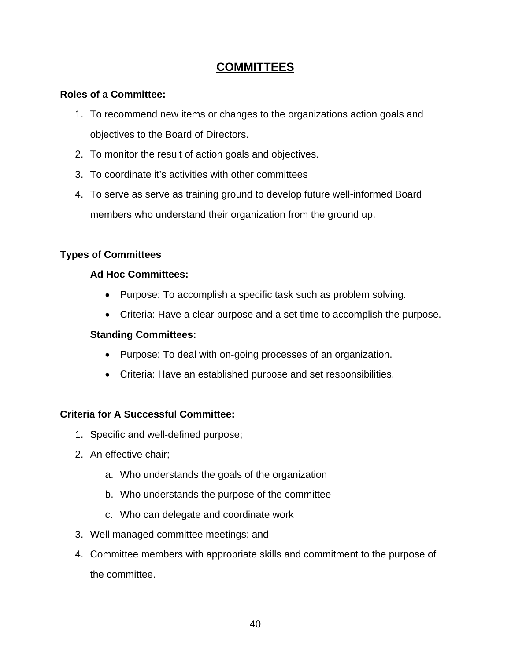# **COMMITTEES**

# **Roles of a Committee:**

- 1. To recommend new items or changes to the organizations action goals and objectives to the Board of Directors.
- 2. To monitor the result of action goals and objectives.
- 3. To coordinate it's activities with other committees
- 4. To serve as serve as training ground to develop future well-informed Board members who understand their organization from the ground up.

# **Types of Committees**

# **Ad Hoc Committees:**

- Purpose: To accomplish a specific task such as problem solving.
- Criteria: Have a clear purpose and a set time to accomplish the purpose.

## **Standing Committees:**

- Purpose: To deal with on-going processes of an organization.
- Criteria: Have an established purpose and set responsibilities.

#### **Criteria for A Successful Committee:**

- 1. Specific and well-defined purpose;
- 2. An effective chair;
	- a. Who understands the goals of the organization
	- b. Who understands the purpose of the committee
	- c. Who can delegate and coordinate work
- 3. Well managed committee meetings; and
- 4. Committee members with appropriate skills and commitment to the purpose of the committee.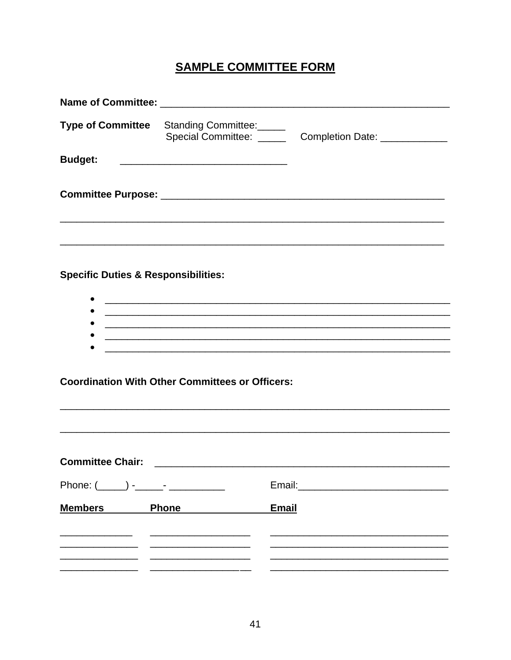# **SAMPLE COMMITTEE FORM**

|                                                | Type of Committee Standing Committee:                                                                                | Special Committee: _______ Completion Date: ___________ |
|------------------------------------------------|----------------------------------------------------------------------------------------------------------------------|---------------------------------------------------------|
| <b>Budget:</b>                                 |                                                                                                                      |                                                         |
|                                                |                                                                                                                      |                                                         |
| <b>Specific Duties &amp; Responsibilities:</b> | <u> 1989 - Jan Samuel Barbara, margaret eta biztanleria (h. 1982).</u>                                               |                                                         |
|                                                | ,我们也不能在这里,我们也不能在这里,我们也不能会在这里,我们也不能会在这里,我们也不能会在这里,我们也不能会不能会不能会。""我们,我们也不能会不能会不能会不                                     |                                                         |
|                                                | <u> 1990 - Jan Salaman, marka a shekara ta 1991 - An tsara tsa na shekara tsa 1991 - An tsa na shekara tsa 1991 </u> |                                                         |
|                                                |                                                                                                                      |                                                         |

**Coordination With Other Committees or Officers:** 

| <b>Committee Chair:</b> |              |              |  |  |  |
|-------------------------|--------------|--------------|--|--|--|
|                         |              |              |  |  |  |
| <b>Members</b>          | <b>Phone</b> | <b>Email</b> |  |  |  |
|                         |              |              |  |  |  |
|                         |              |              |  |  |  |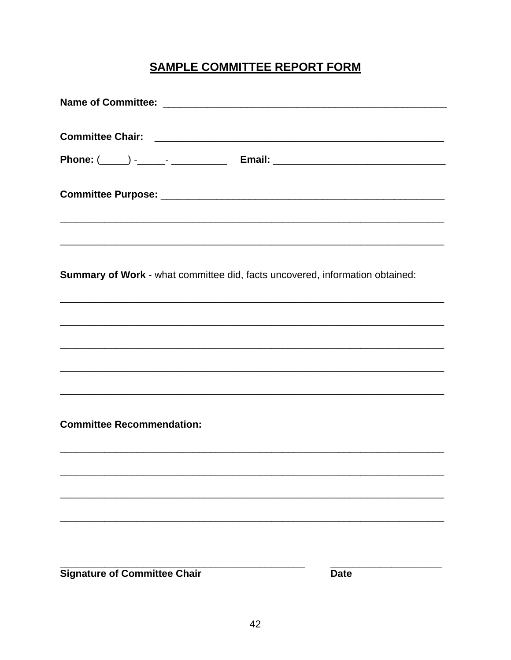# **SAMPLE COMMITTEE REPORT FORM**

| <b>Summary of Work</b> - what committee did, facts uncovered, information obtained: |
|-------------------------------------------------------------------------------------|
| ,我们也不能在这里的时候,我们也不能在这里的时候,我们也不能会在这里,我们也不能会不能会不能会不能会。""我们的人,我们也不能会不能会不能会不能会不能会不能会不    |
|                                                                                     |
| ,我们也不能在这里的时候,我们也不能在这里的时候,我们也不能会在这里,我们也不能会在这里,我们也不能会在这里的时候,我们也不能会不能会不能会。""我们的是我们,我   |
|                                                                                     |
|                                                                                     |
| <b>Committee Recommendation:</b>                                                    |
|                                                                                     |
|                                                                                     |
|                                                                                     |
|                                                                                     |
|                                                                                     |

**Signature of Committee Chair** 

**Date**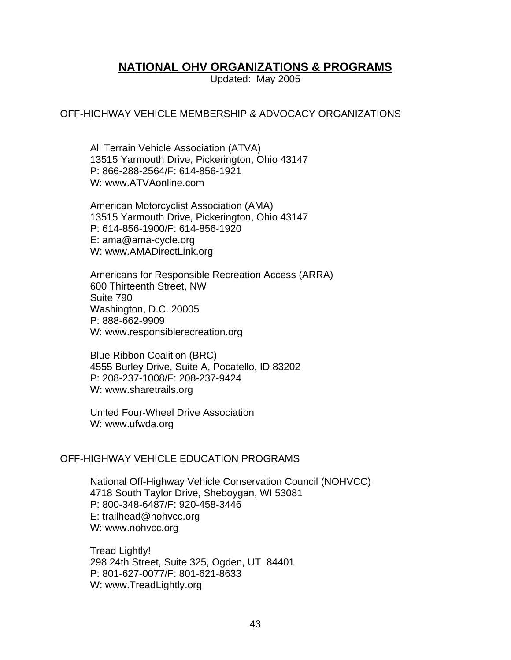# **NATIONAL OHV ORGANIZATIONS & PROGRAMS**

Updated: May 2005

#### OFF-HIGHWAY VEHICLE MEMBERSHIP & ADVOCACY ORGANIZATIONS

All Terrain Vehicle Association (ATVA) 13515 Yarmouth Drive, Pickerington, Ohio 43147 P: 866-288-2564/F: 614-856-1921 W: www.ATVAonline.com

American Motorcyclist Association (AMA) 13515 Yarmouth Drive, Pickerington, Ohio 43147 P: 614-856-1900/F: 614-856-1920 E: ama@ama-cycle.org W: www.AMADirectLink.org

Americans for Responsible Recreation Access (ARRA) 600 Thirteenth Street, NW Suite 790 Washington, D.C. 20005 P: 888-662-9909 W: www.responsiblerecreation.org

Blue Ribbon Coalition (BRC) 4555 Burley Drive, Suite A, Pocatello, ID 83202 P: 208-237-1008/F: 208-237-9424 W: www.sharetrails.org

United Four-Wheel Drive Association W: www.ufwda.org

#### OFF-HIGHWAY VEHICLE EDUCATION PROGRAMS

National Off-Highway Vehicle Conservation Council (NOHVCC) 4718 South Taylor Drive, Sheboygan, WI 53081 P: 800-348-6487/F: 920-458-3446 E: trailhead@nohvcc.org W: www.nohvcc.org

Tread Lightly! 298 24th Street, Suite 325, Ogden, UT 84401 P: 801-627-0077/F: 801-621-8633 W: www.TreadLightly.org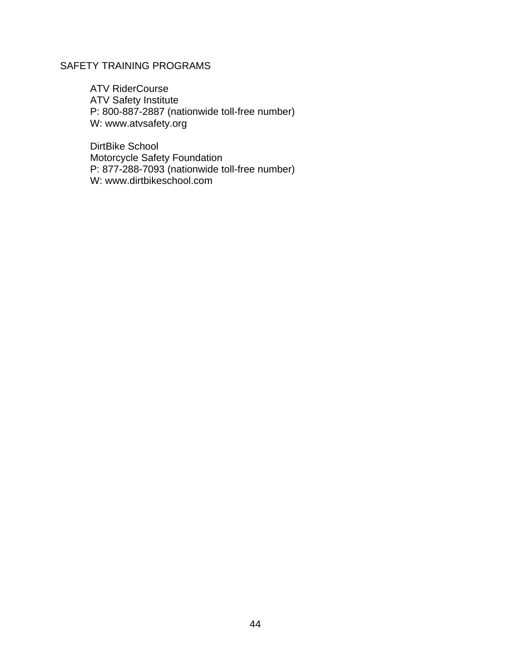# SAFETY TRAINING PROGRAMS

ATV RiderCourse ATV Safety Institute P: 800-887-2887 (nationwide toll-free number) W: www.atvsafety.org

DirtBike School Motorcycle Safety Foundation P: 877-288-7093 (nationwide toll-free number) W: www.dirtbikeschool.com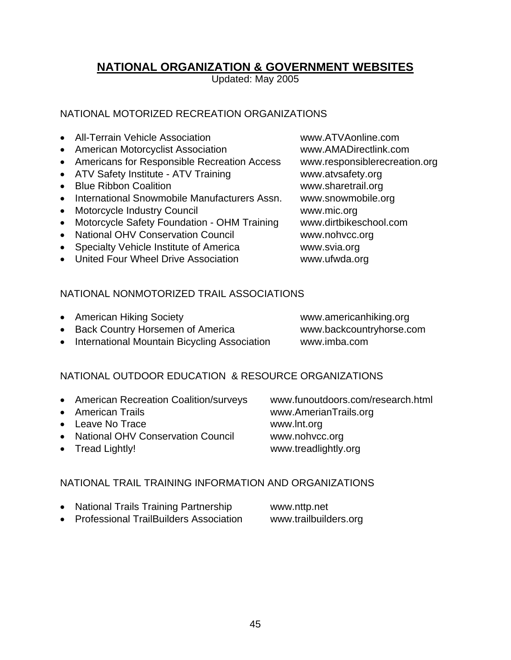# **NATIONAL ORGANIZATION & GOVERNMENT WEBSITES**

Updated: May 2005

# NATIONAL MOTORIZED RECREATION ORGANIZATIONS

- All-Terrain Vehicle Association **www.ATVAonline.com**
- American Motorcyclist Association www.AMADirectlink.com
- Americans for Responsible Recreation Access www.responsiblerecreation.org
- ATV Safety Institute ATV Training www.atvsafety.org
- Blue Ribbon Coalition **www.sharetrail.org**
- International Snowmobile Manufacturers Assn. www.snowmobile.org
- Motorcycle Industry Council www.mic.org
- Motorcycle Safety Foundation OHM Training www.dirtbikeschool.com
- National OHV Conservation Council www.nohvcc.org
- Specialty Vehicle Institute of America **www.svia.org**
- United Four Wheel Drive Association **www.ufwda.org**

# NATIONAL NONMOTORIZED TRAIL ASSOCIATIONS

- American Hiking Society **www.americanhiking.org**
- Back Country Horsemen of America www.backcountryhorse.com
- International Mountain Bicycling Association www.imba.com

# NATIONAL OUTDOOR EDUCATION & RESOURCE ORGANIZATIONS

- American Recreation Coalition/surveys www.funoutdoors.com/research.html
- 
- Leave No Trace www.lnt.org
- National OHV Conservation Council www.nohvcc.org
- 

# NATIONAL TRAIL TRAINING INFORMATION AND ORGANIZATIONS

- National Trails Training Partnership www.nttp.net
- Professional TrailBuilders Association www.trailbuilders.org

• American Trails www.AmerianTrails.org • Tread Lightly! **www.treadlightly.org**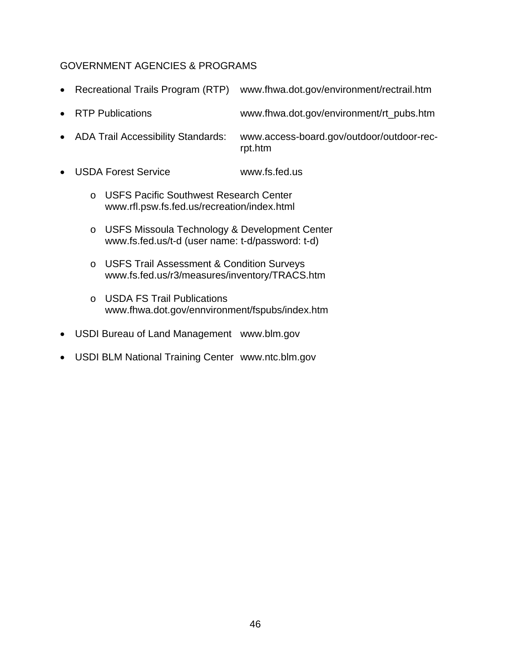# GOVERNMENT AGENCIES & PROGRAMS

- Recreational Trails Program (RTP) www.fhwa.dot.gov/environment/rectrail.htm
- RTP Publications www.fhwa.dot.gov/environment/rt\_pubs.htm
- ADA Trail Accessibility Standards: www.access-board.gov/outdoor/outdoor-rec rpt.htm
- USDA Forest Service www.fs.fed.us
	- o USFS Pacific Southwest Research Center www.rfl.psw.fs.fed.us/recreation/index.html
	- o USFS Missoula Technology & Development Center www.fs.fed.us/t-d (user name: t-d/password: t-d)
	- o USFS Trail Assessment & Condition Surveys www.fs.fed.us/r3/measures/inventory/TRACS.htm
	- o USDA FS Trail Publications www.fhwa.dot.gov/ennvironment/fspubs/index.htm
- USDI Bureau of Land Management www.blm.gov
- USDI BLM National Training Center www.ntc.blm.gov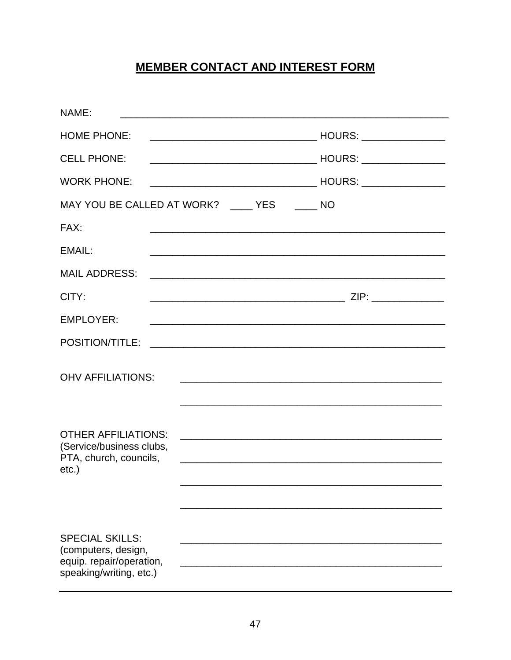# **MEMBER CONTACT AND INTEREST FORM**

| NAME:                                                                                                |                                                                                                                     |
|------------------------------------------------------------------------------------------------------|---------------------------------------------------------------------------------------------------------------------|
| <b>HOME PHONE:</b>                                                                                   |                                                                                                                     |
| <b>CELL PHONE:</b>                                                                                   |                                                                                                                     |
| <b>WORK PHONE:</b>                                                                                   |                                                                                                                     |
| MAY YOU BE CALLED AT WORK? _____ YES                                                                 | $\overline{\phantom{0}}$ NO                                                                                         |
| FAX:                                                                                                 |                                                                                                                     |
| EMAIL:                                                                                               | <u> 1989 - Johann Stoff, amerikansk politiker (d. 1989)</u>                                                         |
| <b>MAIL ADDRESS:</b>                                                                                 |                                                                                                                     |
| CITY:                                                                                                |                                                                                                                     |
| <b>EMPLOYER:</b>                                                                                     | <u> 1989 - Johann Stoff, amerikansk politiker (* 1908)</u>                                                          |
| POSITION/TITLE:                                                                                      | <u> 2000 - Jan Barnett, fransk politik (d. 1888)</u>                                                                |
| <b>OHV AFFILIATIONS:</b>                                                                             |                                                                                                                     |
| <b>OTHER AFFILIATIONS:</b><br>(Service/business clubs,<br>PTA, church, councils,<br>$etc.$ )         | <u> 2002 - Jan James James Jan James James James James James James James James James James James James James Ja</u> |
| <b>SPECIAL SKILLS:</b><br>(computers, design,<br>equip. repair/operation,<br>speaking/writing, etc.) |                                                                                                                     |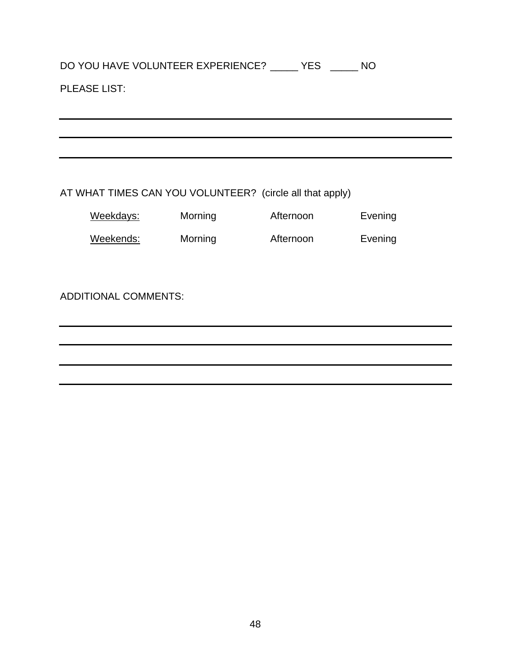# DO YOU HAVE VOLUNTEER EXPERIENCE? \_\_\_\_\_ YES \_\_\_\_\_ NO

# PLEASE LIST:

AT WHAT TIMES CAN YOU VOLUNTEER? (circle all that apply)

| Weekdays: | Morning | Afternoon | Evening |
|-----------|---------|-----------|---------|
| Weekends: | Morning | Afternoon | Evening |

ADDITIONAL COMMENTS: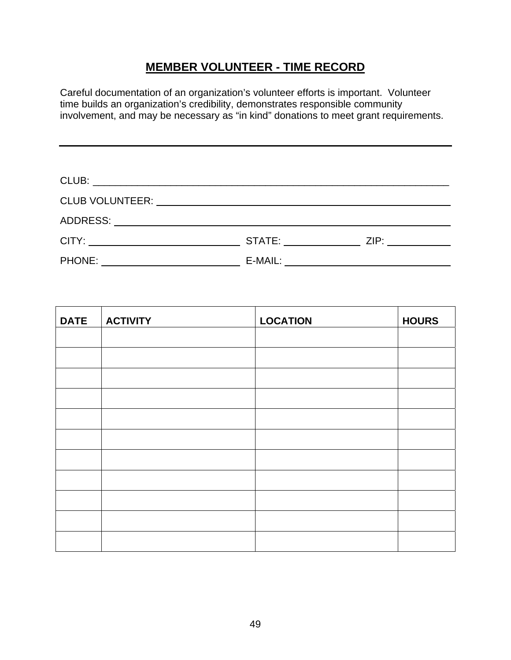# **MEMBER VOLUNTEER - TIME RECORD**

Careful documentation of an organization's volunteer efforts is important. Volunteer time builds an organization's credibility, demonstrates responsible community involvement, and may be necessary as "in kind" donations to meet grant requirements.

|                                                                                                                                       | STATE: THE STATE: | ZIP: |  |  |
|---------------------------------------------------------------------------------------------------------------------------------------|-------------------|------|--|--|
| <b>PHONE:</b><br><u> 1980 - Jan Barbara Barbara, prima popular popular popular popular popular popular popular popular popular po</u> | E-MAIL:           |      |  |  |

| <b>DATE</b> | <b>ACTIVITY</b> | <b>LOCATION</b> | <b>HOURS</b> |
|-------------|-----------------|-----------------|--------------|
|             |                 |                 |              |
|             |                 |                 |              |
|             |                 |                 |              |
|             |                 |                 |              |
|             |                 |                 |              |
|             |                 |                 |              |
|             |                 |                 |              |
|             |                 |                 |              |
|             |                 |                 |              |
|             |                 |                 |              |
|             |                 |                 |              |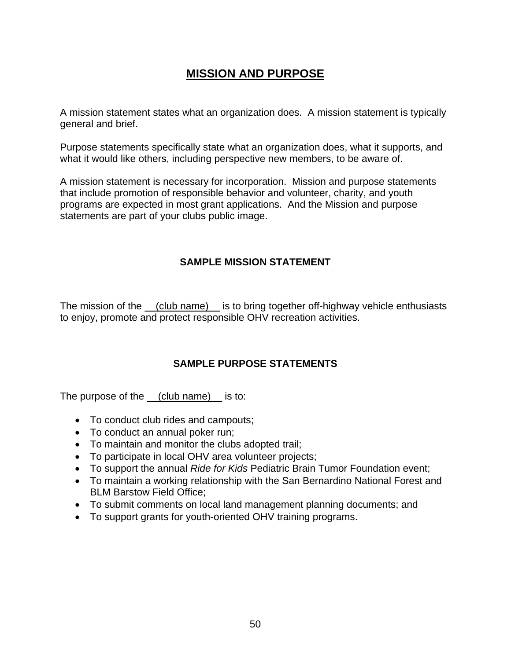# **MISSION AND PURPOSE**

A mission statement states what an organization does. A mission statement is typically general and brief.

Purpose statements specifically state what an organization does, what it supports, and what it would like others, including perspective new members, to be aware of.

A mission statement is necessary for incorporation. Mission and purpose statements that include promotion of responsible behavior and volunteer, charity, and youth programs are expected in most grant applications. And the Mission and purpose statements are part of your clubs public image.

# **SAMPLE MISSION STATEMENT**

The mission of the (club name) is to bring together off-highway vehicle enthusiasts to enjoy, promote and protect responsible OHV recreation activities.

# **SAMPLE PURPOSE STATEMENTS**

The purpose of the <u>(club name)</u> is to:

- To conduct club rides and campouts;
- To conduct an annual poker run;
- To maintain and monitor the clubs adopted trail;
- To participate in local OHV area volunteer projects;
- To support the annual *Ride for Kids* Pediatric Brain Tumor Foundation event;
- To maintain a working relationship with the San Bernardino National Forest and BLM Barstow Field Office;
- To submit comments on local land management planning documents; and
- To support grants for youth-oriented OHV training programs.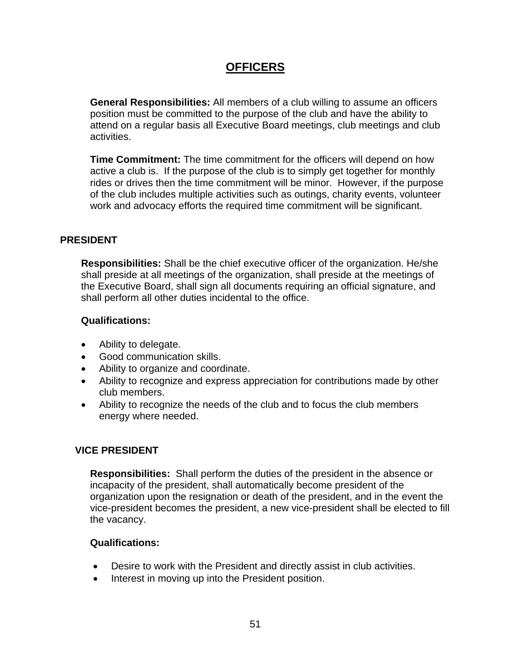# **OFFICERS**

**General Responsibilities:** All members of a club willing to assume an officers position must be committed to the purpose of the club and have the ability to attend on a regular basis all Executive Board meetings, club meetings and club activities.

**Time Commitment:** The time commitment for the officers will depend on how active a club is. If the purpose of the club is to simply get together for monthly rides or drives then the time commitment will be minor. However, if the purpose of the club includes multiple activities such as outings, charity events, volunteer work and advocacy efforts the required time commitment will be significant.

# **PRESIDENT**

**Responsibilities:** Shall be the chief executive officer of the organization. He/she shall preside at all meetings of the organization, shall preside at the meetings of the Executive Board, shall sign all documents requiring an official signature, and shall perform all other duties incidental to the office.

# **Qualifications:**

- Ability to delegate.
- Good communication skills.
- Ability to organize and coordinate.
- Ability to recognize and express appreciation for contributions made by other club members.
- Ability to recognize the needs of the club and to focus the club members energy where needed.

# **VICE PRESIDENT**

**Responsibilities:** Shall perform the duties of the president in the absence or incapacity of the president, shall automatically become president of the organization upon the resignation or death of the president, and in the event the vice-president becomes the president, a new vice-president shall be elected to fill the vacancy.

- Desire to work with the President and directly assist in club activities.
- Interest in moving up into the President position.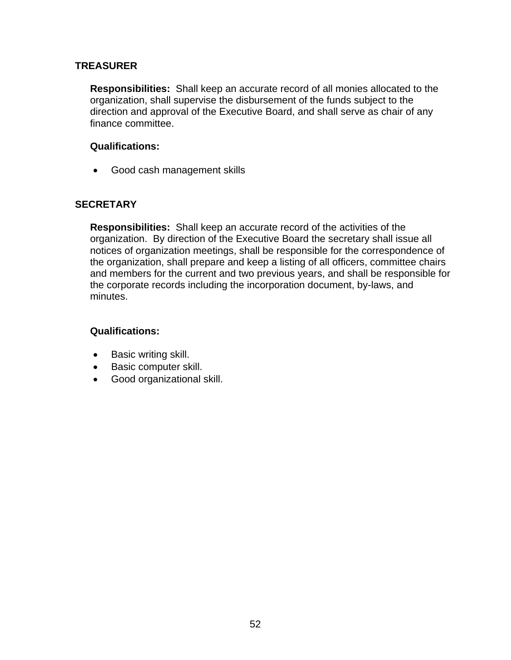## **TREASURER**

**Responsibilities:** Shall keep an accurate record of all monies allocated to the organization, shall supervise the disbursement of the funds subject to the direction and approval of the Executive Board, and shall serve as chair of any finance committee.

## **Qualifications:**

• Good cash management skills

# **SECRETARY**

**Responsibilities:** Shall keep an accurate record of the activities of the organization. By direction of the Executive Board the secretary shall issue all notices of organization meetings, shall be responsible for the correspondence of the organization, shall prepare and keep a listing of all officers, committee chairs and members for the current and two previous years, and shall be responsible for the corporate records including the incorporation document, by-laws, and minutes.

- Basic writing skill.
- Basic computer skill.
- Good organizational skill.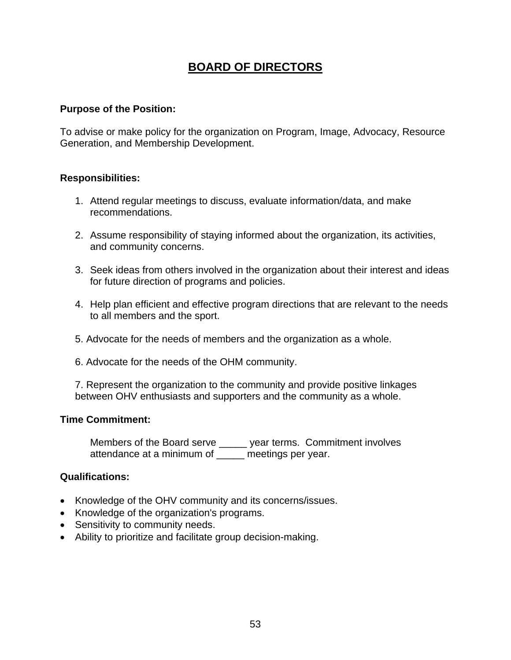# **BOARD OF DIRECTORS**

#### **Purpose of the Position:**

To advise or make policy for the organization on Program, Image, Advocacy, Resource Generation, and Membership Development.

#### **Responsibilities:**

- 1. Attend regular meetings to discuss, evaluate information/data, and make recommendations.
- 2. Assume responsibility of staying informed about the organization, its activities, and community concerns.
- 3. Seek ideas from others involved in the organization about their interest and ideas for future direction of programs and policies.
- 4. Help plan efficient and effective program directions that are relevant to the needs to all members and the sport.
- 5. Advocate for the needs of members and the organization as a whole.
- 6. Advocate for the needs of the OHM community.

7. Represent the organization to the community and provide positive linkages between OHV enthusiasts and supporters and the community as a whole.

#### **Time Commitment:**

Members of the Board serve \_\_\_\_\_ year terms. Commitment involves attendance at a minimum of \_\_\_\_\_ meetings per year.

- Knowledge of the OHV community and its concerns/issues.
- Knowledge of the organization's programs.
- Sensitivity to community needs.
- Ability to prioritize and facilitate group decision-making.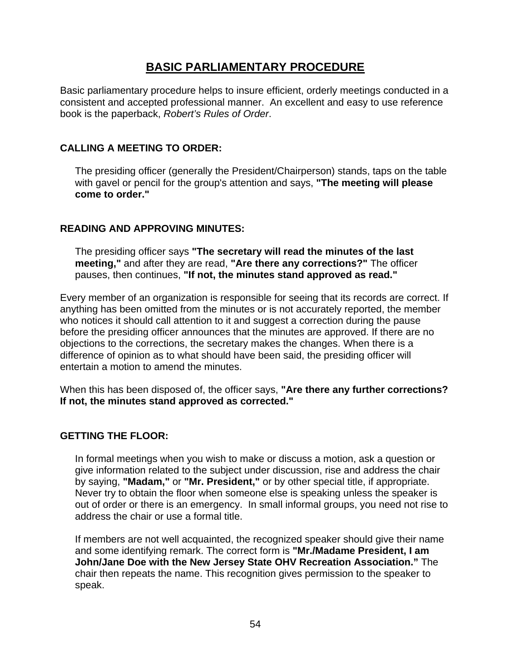# **BASIC PARLIAMENTARY PROCEDURE**

Basic parliamentary procedure helps to insure efficient, orderly meetings conducted in a consistent and accepted professional manner. An excellent and easy to use reference book is the paperback, *Robert's Rules of Order*.

# **CALLING A MEETING TO ORDER:**

The presiding officer (generally the President/Chairperson) stands, taps on the table with gavel or pencil for the group's attention and says, **"The meeting will please come to order."** 

# **READING AND APPROVING MINUTES:**

The presiding officer says **"The secretary will read the minutes of the last meeting,"** and after they are read, **"Are there any corrections?"** The officer pauses, then continues, **"If not, the minutes stand approved as read."** 

Every member of an organization is responsible for seeing that its records are correct. If anything has been omitted from the minutes or is not accurately reported, the member who notices it should call attention to it and suggest a correction during the pause before the presiding officer announces that the minutes are approved. If there are no objections to the corrections, the secretary makes the changes. When there is a difference of opinion as to what should have been said, the presiding officer will entertain a motion to amend the minutes.

When this has been disposed of, the officer says, **"Are there any further corrections? If not, the minutes stand approved as corrected."** 

#### **GETTING THE FLOOR:**

In formal meetings when you wish to make or discuss a motion, ask a question or give information related to the subject under discussion, rise and address the chair by saying, **"Madam,"** or **"Mr. President,"** or by other special title, if appropriate. Never try to obtain the floor when someone else is speaking unless the speaker is out of order or there is an emergency. In small informal groups, you need not rise to address the chair or use a formal title.

If members are not well acquainted, the recognized speaker should give their name and some identifying remark. The correct form is **"Mr./Madame President, I am John/Jane Doe with the New Jersey State OHV Recreation Association."** The chair then repeats the name. This recognition gives permission to the speaker to speak.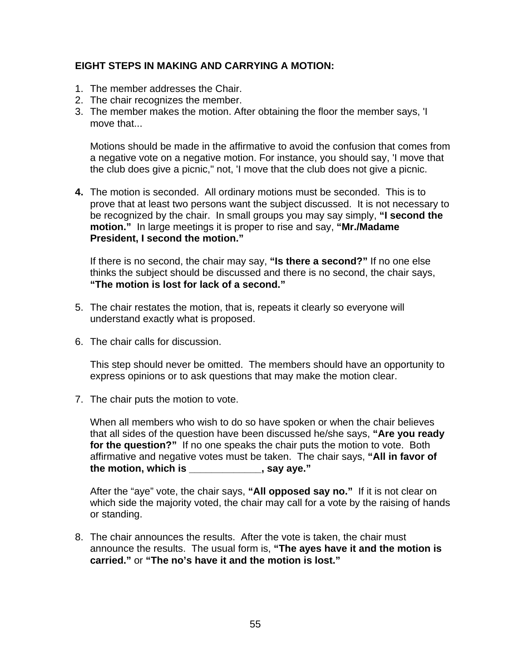# **EIGHT STEPS IN MAKING AND CARRYING A MOTION:**

- 1. The member addresses the Chair.
- 2. The chair recognizes the member.
- 3. The member makes the motion. After obtaining the floor the member says, 'I move that...

Motions should be made in the affirmative to avoid the confusion that comes from a negative vote on a negative motion. For instance, you should say, 'I move that the club does give a picnic," not, 'I move that the club does not give a picnic.

**4.** The motion is seconded. All ordinary motions must be seconded. This is to prove that at least two persons want the subject discussed. It is not necessary to be recognized by the chair. In small groups you may say simply, **"I second the motion."** In large meetings it is proper to rise and say, **"Mr./Madame President, I second the motion."** 

If there is no second, the chair may say, **"Is there a second?"** If no one else thinks the subject should be discussed and there is no second, the chair says, **"The motion is lost for lack of a second."**

- 5. The chair restates the motion, that is, repeats it clearly so everyone will understand exactly what is proposed.
- 6. The chair calls for discussion.

This step should never be omitted. The members should have an opportunity to express opinions or to ask questions that may make the motion clear.

7. The chair puts the motion to vote.

When all members who wish to do so have spoken or when the chair believes that all sides of the question have been discussed he/she says, **"Are you ready for the question?"** If no one speaks the chair puts the motion to vote. Both affirmative and negative votes must be taken. The chair says, **"All in favor of the motion, which is \_\_\_\_\_\_\_\_\_\_\_\_\_, say aye."** 

After the "aye" vote, the chair says, **"All opposed say no."** If it is not clear on which side the majority voted, the chair may call for a vote by the raising of hands or standing.

8. The chair announces the results. After the vote is taken, the chair must announce the results. The usual form is, **"The ayes have it and the motion is carried."** or **"The no's have it and the motion is lost."**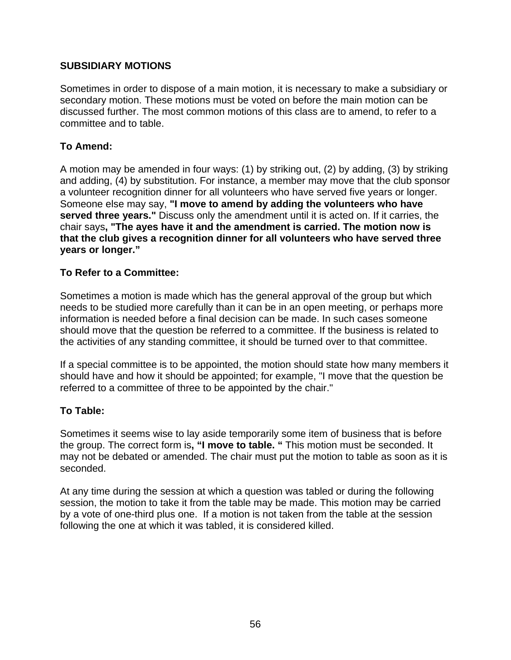# **SUBSIDIARY MOTIONS**

Sometimes in order to dispose of a main motion, it is necessary to make a subsidiary or secondary motion. These motions must be voted on before the main motion can be discussed further. The most common motions of this class are to amend, to refer to a committee and to table.

# **To Amend:**

A motion may be amended in four ways: (1) by striking out, (2) by adding, (3) by striking and adding, (4) by substitution. For instance, a member may move that the club sponsor a volunteer recognition dinner for all volunteers who have served five years or longer. Someone else may say, **"I move to amend by adding the volunteers who have served three years."** Discuss only the amendment until it is acted on. If it carries, the chair says**, "The ayes have it and the amendment is carried. The motion now is that the club gives a recognition dinner for all volunteers who have served three years or longer."**

# **To Refer to a Committee:**

Sometimes a motion is made which has the general approval of the group but which needs to be studied more carefully than it can be in an open meeting, or perhaps more information is needed before a final decision can be made. In such cases someone should move that the question be referred to a committee. If the business is related to the activities of any standing committee, it should be turned over to that committee.

If a special committee is to be appointed, the motion should state how many members it should have and how it should be appointed; for example, "I move that the question be referred to a committee of three to be appointed by the chair."

#### **To Table:**

Sometimes it seems wise to lay aside temporarily some item of business that is before the group. The correct form is**, "I move to table. "** This motion must be seconded. It may not be debated or amended. The chair must put the motion to table as soon as it is seconded.

At any time during the session at which a question was tabled or during the following session, the motion to take it from the table may be made. This motion may be carried by a vote of one-third plus one. If a motion is not taken from the table at the session following the one at which it was tabled, it is considered killed.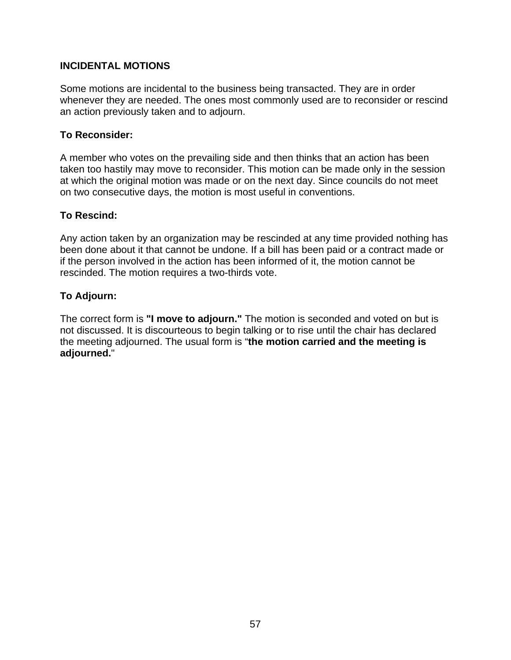# **INCIDENTAL MOTIONS**

Some motions are incidental to the business being transacted. They are in order whenever they are needed. The ones most commonly used are to reconsider or rescind an action previously taken and to adjourn.

#### **To Reconsider:**

A member who votes on the prevailing side and then thinks that an action has been taken too hastily may move to reconsider. This motion can be made only in the session at which the original motion was made or on the next day. Since councils do not meet on two consecutive days, the motion is most useful in conventions.

#### **To Rescind:**

Any action taken by an organization may be rescinded at any time provided nothing has been done about it that cannot be undone. If a bill has been paid or a contract made or if the person involved in the action has been informed of it, the motion cannot be rescinded. The motion requires a two-thirds vote.

#### **To Adjourn:**

The correct form is **"I move to adjourn."** The motion is seconded and voted on but is not discussed. It is discourteous to begin talking or to rise until the chair has declared the meeting adjourned. The usual form is "**the motion carried and the meeting is adjourned.**"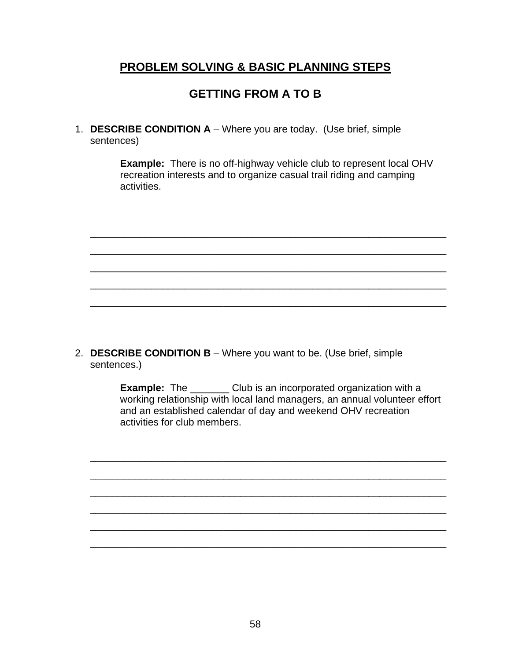# **PROBLEM SOLVING & BASIC PLANNING STEPS**

# **GETTING FROM A TO B**

1. **DESCRIBE CONDITION A** – Where you are today. (Use brief, simple sentences)

> **Example:** There is no off-highway vehicle club to represent local OHV recreation interests and to organize casual trail riding and camping activities.



2. **DESCRIBE CONDITION B** – Where you want to be. (Use brief, simple sentences.)

> **Example:** The \_\_\_\_\_\_\_ Club is an incorporated organization with a working relationship with local land managers, an annual volunteer effort and an established calendar of day and weekend OHV recreation activities for club members.

\_\_\_\_\_\_\_\_\_\_\_\_\_\_\_\_\_\_\_\_\_\_\_\_\_\_\_\_\_\_\_\_\_\_\_\_\_\_\_\_\_\_\_\_\_\_\_\_\_\_\_\_\_\_\_\_\_\_\_\_\_\_\_\_

\_\_\_\_\_\_\_\_\_\_\_\_\_\_\_\_\_\_\_\_\_\_\_\_\_\_\_\_\_\_\_\_\_\_\_\_\_\_\_\_\_\_\_\_\_\_\_\_\_\_\_\_\_\_\_\_\_\_\_\_\_\_\_\_

\_\_\_\_\_\_\_\_\_\_\_\_\_\_\_\_\_\_\_\_\_\_\_\_\_\_\_\_\_\_\_\_\_\_\_\_\_\_\_\_\_\_\_\_\_\_\_\_\_\_\_\_\_\_\_\_\_\_\_\_\_\_\_\_

 $\frac{1}{2}$  ,  $\frac{1}{2}$  ,  $\frac{1}{2}$  ,  $\frac{1}{2}$  ,  $\frac{1}{2}$  ,  $\frac{1}{2}$  ,  $\frac{1}{2}$  ,  $\frac{1}{2}$  ,  $\frac{1}{2}$  ,  $\frac{1}{2}$  ,  $\frac{1}{2}$  ,  $\frac{1}{2}$  ,  $\frac{1}{2}$  ,  $\frac{1}{2}$  ,  $\frac{1}{2}$  ,  $\frac{1}{2}$  ,  $\frac{1}{2}$  ,  $\frac{1}{2}$  ,  $\frac{1$ 

\_\_\_\_\_\_\_\_\_\_\_\_\_\_\_\_\_\_\_\_\_\_\_\_\_\_\_\_\_\_\_\_\_\_\_\_\_\_\_\_\_\_\_\_\_\_\_\_\_\_\_\_\_\_\_\_\_\_\_\_\_\_\_\_

 $\frac{1}{2}$  ,  $\frac{1}{2}$  ,  $\frac{1}{2}$  ,  $\frac{1}{2}$  ,  $\frac{1}{2}$  ,  $\frac{1}{2}$  ,  $\frac{1}{2}$  ,  $\frac{1}{2}$  ,  $\frac{1}{2}$  ,  $\frac{1}{2}$  ,  $\frac{1}{2}$  ,  $\frac{1}{2}$  ,  $\frac{1}{2}$  ,  $\frac{1}{2}$  ,  $\frac{1}{2}$  ,  $\frac{1}{2}$  ,  $\frac{1}{2}$  ,  $\frac{1}{2}$  ,  $\frac{1$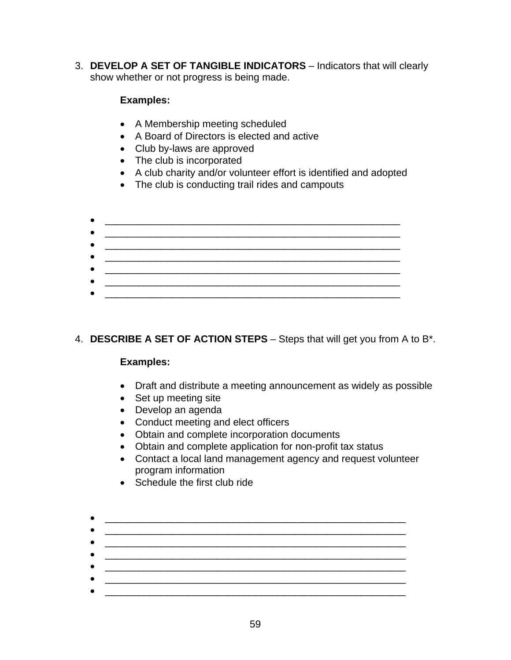3. **DEVELOP A SET OF TANGIBLE INDICATORS** – Indicators that will clearly show whether or not progress is being made.

# **Examples:**

- A Membership meeting scheduled
- A Board of Directors is elected and active
- Club by-laws are approved
- The club is incorporated
- A club charity and/or volunteer effort is identified and adopted
- The club is conducting trail rides and campouts

4. **DESCRIBE A SET OF ACTION STEPS** – Steps that will get you from A to B\*.

# **Examples:**

- Draft and distribute a meeting announcement as widely as possible
- Set up meeting site
- Develop an agenda
- Conduct meeting and elect officers
- Obtain and complete incorporation documents
- Obtain and complete application for non-profit tax status
- Contact a local land management agency and request volunteer program information
- Schedule the first club ride

#### • \_\_\_\_\_\_\_\_\_\_\_\_\_\_\_\_\_\_\_\_\_\_\_\_\_\_\_\_\_\_\_\_\_\_\_\_\_\_\_\_\_\_\_\_\_\_\_\_\_\_\_\_\_\_ • \_\_\_\_\_\_\_\_\_\_\_\_\_\_\_\_\_\_\_\_\_\_\_\_\_\_\_\_\_\_\_\_\_\_\_\_\_\_\_\_\_\_\_\_\_\_\_\_\_\_\_\_\_\_

59

 $\bullet$   $\overbrace{\hspace{25mm}}$   $\overbrace{\hspace{25mm}}$   $\overbrace{\hspace{25mm}}$   $\overbrace{\hspace{25mm}}$ 

- 
- \_\_\_\_\_\_\_\_\_\_\_\_\_\_\_\_\_\_\_\_\_\_\_\_\_\_\_\_\_\_\_\_\_\_\_\_\_\_\_\_\_\_\_\_\_\_\_\_\_\_\_\_\_\_
-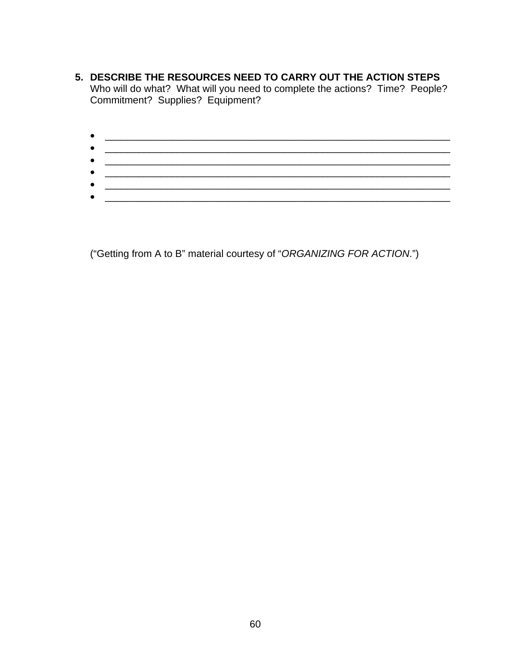- **5. DESCRIBE THE RESOURCES NEED TO CARRY OUT THE ACTION STEPS** Who will do what? What will you need to complete the actions? Time? People? Commitment? Supplies? Equipment?
	- \_\_\_\_\_\_\_\_\_\_\_\_\_\_\_\_\_\_\_\_\_\_\_\_\_\_\_\_\_\_\_\_\_\_\_\_\_\_\_\_\_\_\_\_\_\_\_\_\_\_\_\_\_\_\_\_\_\_\_\_\_\_ • \_\_\_\_\_\_\_\_\_\_\_\_\_\_\_\_\_\_\_\_\_\_\_\_\_\_\_\_\_\_\_\_\_\_\_\_\_\_\_\_\_\_\_\_\_\_\_\_\_\_\_\_\_\_\_\_\_\_\_\_\_\_  $\bullet$  . The contract of the contract of the contract of the contract of the contract of the contract of the contract of the contract of the contract of the contract of the contract of the contract of the contract of the co  $\bullet$   $\hspace{0.2cm}$   $\hspace{0.2cm}$   $\hspace{0.2cm}$   $\hspace{0.2cm}$   $\hspace{0.2cm}$   $\hspace{0.2cm}$   $\hspace{0.2cm}$   $\hspace{0.2cm}$   $\hspace{0.2cm}$   $\hspace{0.2cm}$   $\hspace{0.2cm}$   $\hspace{0.2cm}$   $\hspace{0.2cm}$   $\hspace{0.2cm}$   $\hspace{0.2cm}$   $\hspace{0.2cm}$   $\hspace{0.2cm}$   $\hspace{0.2cm}$  • \_\_\_\_\_\_\_\_\_\_\_\_\_\_\_\_\_\_\_\_\_\_\_\_\_\_\_\_\_\_\_\_\_\_\_\_\_\_\_\_\_\_\_\_\_\_\_\_\_\_\_\_\_\_\_\_\_\_\_\_\_\_ • \_\_\_\_\_\_\_\_\_\_\_\_\_\_\_\_\_\_\_\_\_\_\_\_\_\_\_\_\_\_\_\_\_\_\_\_\_\_\_\_\_\_\_\_\_\_\_\_\_\_\_\_\_\_\_\_\_\_\_\_\_\_

("Getting from A to B" material courtesy of "*ORGANIZING FOR ACTION*.")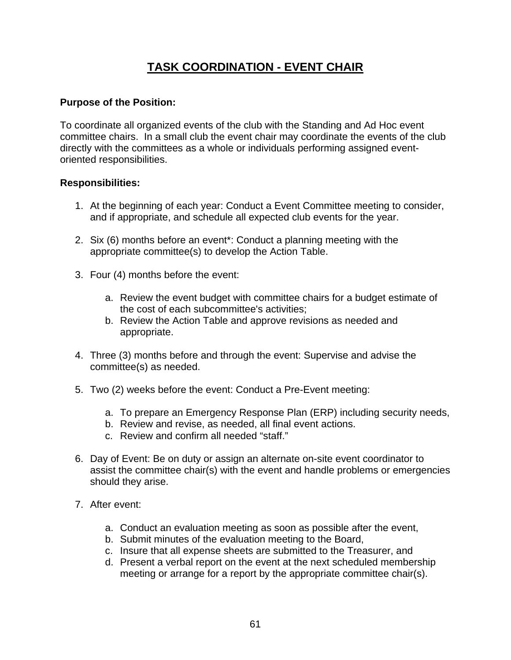# **TASK COORDINATION - EVENT CHAIR**

## **Purpose of the Position:**

To coordinate all organized events of the club with the Standing and Ad Hoc event committee chairs. In a small club the event chair may coordinate the events of the club directly with the committees as a whole or individuals performing assigned eventoriented responsibilities.

# **Responsibilities:**

- 1. At the beginning of each year: Conduct a Event Committee meeting to consider, and if appropriate, and schedule all expected club events for the year.
- 2. Six (6) months before an event\*: Conduct a planning meeting with the appropriate committee(s) to develop the Action Table.
- 3. Four (4) months before the event:
	- a. Review the event budget with committee chairs for a budget estimate of the cost of each subcommittee's activities;
	- b. Review the Action Table and approve revisions as needed and appropriate.
- 4. Three (3) months before and through the event: Supervise and advise the committee(s) as needed.
- 5. Two (2) weeks before the event: Conduct a Pre-Event meeting:
	- a. To prepare an Emergency Response Plan (ERP) including security needs,
	- b. Review and revise, as needed, all final event actions.
	- c. Review and confirm all needed "staff."
- 6. Day of Event: Be on duty or assign an alternate on-site event coordinator to assist the committee chair(s) with the event and handle problems or emergencies should they arise.
- 7. After event:
	- a. Conduct an evaluation meeting as soon as possible after the event,
	- b. Submit minutes of the evaluation meeting to the Board,
	- c. Insure that all expense sheets are submitted to the Treasurer, and
	- d. Present a verbal report on the event at the next scheduled membership meeting or arrange for a report by the appropriate committee chair(s).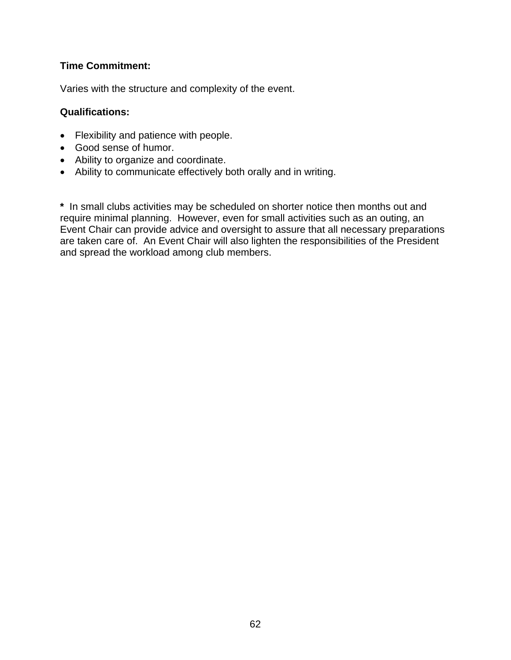# **Time Commitment:**

Varies with the structure and complexity of the event.

## **Qualifications:**

- Flexibility and patience with people.
- Good sense of humor.
- Ability to organize and coordinate.
- Ability to communicate effectively both orally and in writing.

**\*** In small clubs activities may be scheduled on shorter notice then months out and require minimal planning. However, even for small activities such as an outing, an Event Chair can provide advice and oversight to assure that all necessary preparations are taken care of. An Event Chair will also lighten the responsibilities of the President and spread the workload among club members.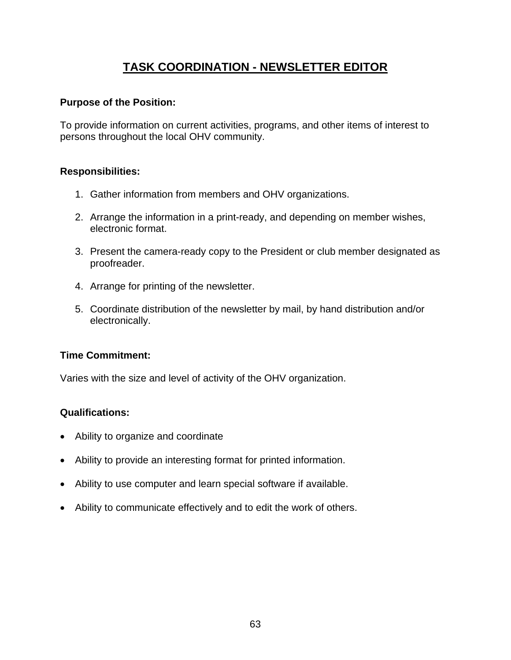# **TASK COORDINATION - NEWSLETTER EDITOR**

#### **Purpose of the Position:**

To provide information on current activities, programs, and other items of interest to persons throughout the local OHV community.

# **Responsibilities:**

- 1. Gather information from members and OHV organizations.
- 2. Arrange the information in a print-ready, and depending on member wishes, electronic format.
- 3. Present the camera-ready copy to the President or club member designated as proofreader.
- 4. Arrange for printing of the newsletter.
- 5. Coordinate distribution of the newsletter by mail, by hand distribution and/or electronically.

# **Time Commitment:**

Varies with the size and level of activity of the OHV organization.

- Ability to organize and coordinate
- Ability to provide an interesting format for printed information.
- Ability to use computer and learn special software if available.
- Ability to communicate effectively and to edit the work of others.